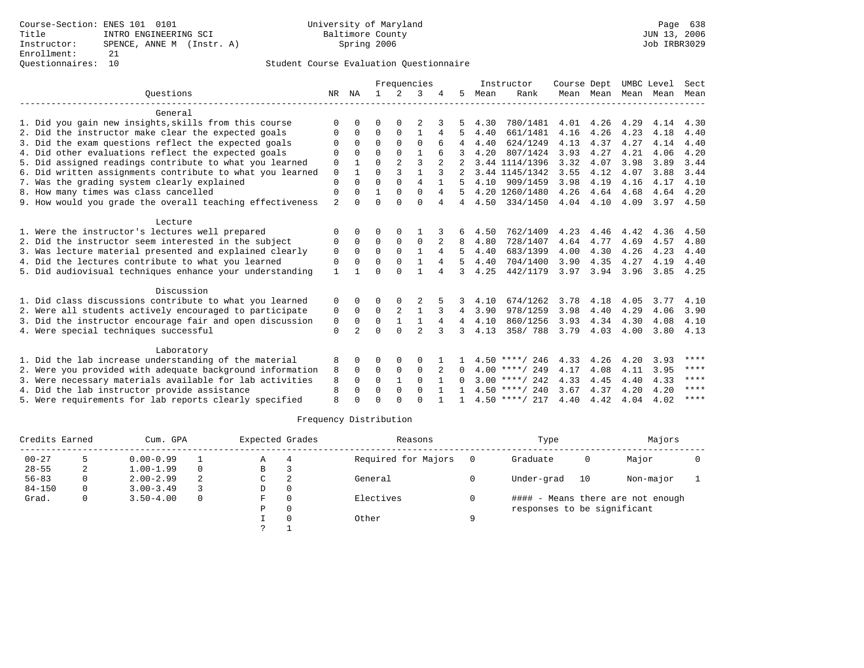# Questionnaires: 10 Student Course Evaluation Questionnaire

|                                                           |                |                | Frequencies  |                |                |   | Instructor | Course Dept |                  | UMBC Level |           | Sect |      |      |
|-----------------------------------------------------------|----------------|----------------|--------------|----------------|----------------|---|------------|-------------|------------------|------------|-----------|------|------|------|
| Ouestions                                                 |                | NR NA          | $\mathbf{1}$ | $\mathcal{L}$  | 3              |   | 5.         | Mean        | Rank             |            | Mean Mean | Mean | Mean | Mean |
| General                                                   |                |                |              |                |                |   |            |             |                  |            |           |      |      |      |
| 1. Did you gain new insights, skills from this course     | O              | 0              | 0            | $\Omega$       |                |   |            | 4.30        | 780/1481         | 4.01       | 4.26      | 4.29 | 4.14 | 4.30 |
| 2. Did the instructor make clear the expected goals       | 0              | $\Omega$       | 0            | $\Omega$       | $\mathbf{1}$   | 4 |            | 4.40        | 661/1481         | 4.16       | 4.26      | 4.23 | 4.18 | 4.40 |
| 3. Did the exam questions reflect the expected goals      |                | <sup>0</sup>   | $\Omega$     | $\Omega$       | $\Omega$       |   |            | 4.40        | 624/1249         | 4.13       | 4.37      | 4.27 | 4.14 | 4.40 |
| 4. Did other evaluations reflect the expected goals       | $\Omega$       | $\Omega$       | $\Omega$     | $\Omega$       | $\mathbf{1}$   |   |            | 4.20        | 807/1424         | 3.93       | 4.27      | 4.21 | 4.06 | 4.20 |
| 5. Did assigned readings contribute to what you learned   | 0              |                | $\Omega$     | $\mathfrak{D}$ | 3              |   |            |             | 3.44 1114/1396   | 3.32       | 4.07      | 3.98 | 3.89 | 3.44 |
| 6. Did written assignments contribute to what you learned | $\mathbf 0$    |                | $\Omega$     | 3              | $\mathbf{1}$   | 3 |            |             | 3.44 1145/1342   | 3.55       | 4.12      | 4.07 | 3.88 | 3.44 |
| 7. Was the grading system clearly explained               | $\Omega$       | $\Omega$       | $\Omega$     | $\Omega$       | $\overline{4}$ |   |            | 4.10        | 909/1459         | 3.98       | 4.19      | 4.16 | 4.17 | 4.10 |
| 8. How many times was class cancelled                     | 0              | 0              | 1            | $\Omega$       | $\Omega$       | 4 |            |             | 4.20 1260/1480   | 4.26       | 4.64      | 4.68 | 4.64 | 4.20 |
| 9. How would you grade the overall teaching effectiveness | $\overline{a}$ |                | $\Omega$     | ∩              | $\Omega$       | 4 | 4          | 4.50        | 334/1450         | 4.04       | 4.10      | 4.09 | 3.97 | 4.50 |
| Lecture                                                   |                |                |              |                |                |   |            |             |                  |            |           |      |      |      |
| 1. Were the instructor's lectures well prepared           | $\Omega$       |                | 0            | $\Omega$       |                |   |            | 4.50        | 762/1409         | 4.23       | 4.46      | 4.42 | 4.36 | 4.50 |
| 2. Did the instructor seem interested in the subject      | 0              | $\Omega$       | $\Omega$     | 0              | $\Omega$       | 2 | 8          | 4.80        | 728/1407         | 4.64       | 4.77      | 4.69 | 4.57 | 4.80 |
| 3. Was lecture material presented and explained clearly   | $\Omega$       | $\Omega$       | $\Omega$     | $\Omega$       | $\mathbf{1}$   | 4 |            | 4.40        | 683/1399         | 4.00       | 4.30      | 4.26 | 4.23 | 4.40 |
| 4. Did the lectures contribute to what you learned        | 0              |                | $\Omega$     | $\Omega$       |                | 4 | 5          | 4.40        | 704/1400         | 3.90       | 4.35      | 4.27 | 4.19 | 4.40 |
| 5. Did audiovisual techniques enhance your understanding  | 1              |                | $\Omega$     | $\cap$         |                | 4 | 3          | 4.25        | 442/1179         | 3.97       | 3.94      | 3.96 | 3.85 | 4.25 |
| Discussion                                                |                |                |              |                |                |   |            |             |                  |            |           |      |      |      |
| 1. Did class discussions contribute to what you learned   | 0              | 0              | 0            |                |                |   | 3          | 4.10        | 674/1262         | 3.78       | 4.18      | 4.05 | 3.77 | 4.10 |
| 2. Were all students actively encouraged to participate   | 0              | $\Omega$       | $\Omega$     | $\overline{a}$ | $\mathbf{1}$   | 3 | 4          | 3.90        | 978/1259         | 3.98       | 4.40      | 4.29 | 4.06 | 3.90 |
| 3. Did the instructor encourage fair and open discussion  | 0              | 0              | $\mathbf 0$  |                | $\mathbf{1}$   | 4 | 4          | 4.10        | 860/1256         | 3.93       | 4.34      | 4.30 | 4.08 | 4.10 |
| 4. Were special techniques successful                     | $\Omega$       | $\mathfrak{D}$ | $\cap$       | $\cap$         | $\mathfrak{D}$ | 3 | 3          | 4.13        | 358/788          | 3.79       | 4.03      | 4.00 | 3.80 | 4.13 |
| Laboratory                                                |                |                |              |                |                |   |            |             |                  |            |           |      |      |      |
| 1. Did the lab increase understanding of the material     |                |                | 0            | 0              | $\Omega$       |   |            |             | $4.50$ ****/ 246 | 4.33       | 4.26      | 4.20 | 3.93 | **** |
| 2. Were you provided with adequate background information |                |                | 0            | $\mathbf 0$    | $\mathbf 0$    |   | $\Omega$   |             | $4.00$ ****/ 249 | 4.17       | 4.08      | 4.11 | 3.95 | **** |
| 3. Were necessary materials available for lab activities  |                |                | $\Omega$     | 1              | $\Omega$       |   | 0          |             | $3.00$ ****/ 242 | 4.33       | 4.45      | 4.40 | 4.33 | **** |
| 4. Did the lab instructor provide assistance              |                |                | $\Omega$     | $\Omega$       | $\Omega$       |   |            |             | $4.50$ ****/ 240 | 3.67       | 4.37      | 4.20 | 4.20 | **** |
| 5. Were requirements for lab reports clearly specified    | $\mathsf{R}$   |                | $\cap$       |                | $\cap$         |   |            |             | $4.50$ ****/ 217 | 4.40       | 4.42      | 4.04 | 4.02 | **** |

|            | Credits Earned |               | Cum. GPA |    |          | Expected Grades     |   | Reasons                     |    | Type                              |  | Majors |  |
|------------|----------------|---------------|----------|----|----------|---------------------|---|-----------------------------|----|-----------------------------------|--|--------|--|
| $00 - 27$  |                | $0.00 - 0.99$ |          | Α  | 4        | Required for Majors |   | Graduate                    | 0  | Major                             |  |        |  |
| $28 - 55$  | 2              | $1.00 - 1.99$ | $\Omega$ | В  |          |                     |   |                             |    |                                   |  |        |  |
| $56 - 83$  |                | $2.00 - 2.99$ | 2        | C  |          | General             |   | Under-grad                  | 10 | Non-major                         |  |        |  |
| $84 - 150$ | 0              | $3.00 - 3.49$ |          | D  | $\Omega$ |                     |   |                             |    |                                   |  |        |  |
| Grad.      | 0              | $3.50 - 4.00$ | $\Omega$ | F. |          | Electives           |   |                             |    | #### - Means there are not enough |  |        |  |
|            |                |               |          | P  | $\Omega$ |                     |   | responses to be significant |    |                                   |  |        |  |
|            |                |               |          |    |          | Other               | Q |                             |    |                                   |  |        |  |
|            |                |               |          |    |          |                     |   |                             |    |                                   |  |        |  |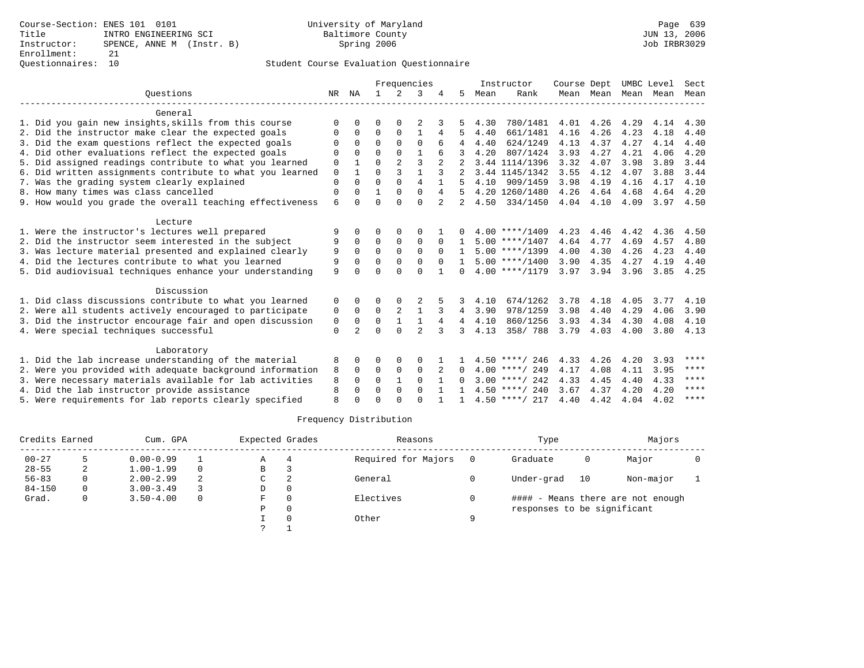# Questionnaires: 10 Student Course Evaluation Questionnaire

|                                                           |              |                | Frequencies  |                |                |          | Instructor   | Course Dept |                  | UMBC Level |           | Sect |      |      |
|-----------------------------------------------------------|--------------|----------------|--------------|----------------|----------------|----------|--------------|-------------|------------------|------------|-----------|------|------|------|
| Ouestions                                                 |              | NR NA          | $\mathbf{1}$ | $2^{\circ}$    | 3              |          | 5.           | Mean        | Rank             |            | Mean Mean | Mean | Mean | Mean |
| General                                                   |              |                |              |                |                |          |              |             |                  |            |           |      |      |      |
| 1. Did you gain new insights, skills from this course     | O            | 0              | 0            | $\Omega$       |                |          |              | 4.30        | 780/1481         | 4.01       | 4.26      | 4.29 | 4.14 | 4.30 |
| 2. Did the instructor make clear the expected goals       | O            | $\Omega$       | 0            | $\Omega$       | $\mathbf{1}$   | 4        |              | 4.40        | 661/1481         | 4.16       | 4.26      | 4.23 | 4.18 | 4.40 |
| 3. Did the exam questions reflect the expected goals      |              | <sup>0</sup>   | $\Omega$     | 0              | $\Omega$       |          |              | 4.40        | 624/1249         | 4.13       | 4.37      | 4.27 | 4.14 | 4.40 |
| 4. Did other evaluations reflect the expected goals       | $\Omega$     | $\Omega$       | $\Omega$     | $\Omega$       | $\mathbf{1}$   |          |              | 4.20        | 807/1424         | 3.93       | 4.27      | 4.21 | 4.06 | 4.20 |
| 5. Did assigned readings contribute to what you learned   | 0            |                | $\Omega$     | $\overline{a}$ | 3              |          |              |             | 3.44 1114/1396   | 3.32       | 4.07      | 3.98 | 3.89 | 3.44 |
| 6. Did written assignments contribute to what you learned | $\mathbf{0}$ |                | $\Omega$     | 3              | $\mathbf{1}$   | 3        |              |             | 3.44 1145/1342   | 3.55       | 4.12      | 4.07 | 3.88 | 3.44 |
| 7. Was the grading system clearly explained               | $\Omega$     | $\Omega$       | $\Omega$     | $\Omega$       | $\overline{4}$ |          |              | 4.10        | 909/1459         | 3.98       | 4.19      | 4.16 | 4.17 | 4.10 |
| 8. How many times was class cancelled                     | $\Omega$     | <sup>0</sup>   | 1            | $\Omega$       | $\Omega$       | 4        |              |             | 4.20 1260/1480   | 4.26       | 4.64      | 4.68 | 4.64 | 4.20 |
| 9. How would you grade the overall teaching effectiveness | 6            |                | $\Omega$     | $\cap$         | $\Omega$       | 2        |              | 4.50        | 334/1450         | 4.04       | 4.10      | 4.09 | 3.97 | 4.50 |
| Lecture                                                   |              |                |              |                |                |          |              |             |                  |            |           |      |      |      |
| 1. Were the instructor's lectures well prepared           |              |                | O            | $\Omega$       | $\Omega$       |          |              |             | $4.00$ ****/1409 | 4.23       | 4.46      | 4.42 | 4.36 | 4.50 |
| 2. Did the instructor seem interested in the subject      | 9            | 0              | $\Omega$     | 0              | $\Omega$       | $\Omega$ |              |             | $5.00$ ****/1407 | 4.64       | 4.77      | 4.69 | 4.57 | 4.80 |
| 3. Was lecture material presented and explained clearly   | 9            | 0              | $\Omega$     | $\Omega$       | $\Omega$       | $\Omega$ |              |             | $5.00$ ****/1399 | 4.00       | 4.30      | 4.26 | 4.23 | 4.40 |
| 4. Did the lectures contribute to what you learned        | 9            | O              | $\Omega$     | $\Omega$       | $\mathbf 0$    | $\Omega$ | $\mathbf{1}$ |             | $5.00$ ****/1400 | 3.90       | 4.35      | 4.27 | 4.19 | 4.40 |
| 5. Did audiovisual techniques enhance your understanding  | 9            |                | $\Omega$     | $\cap$         | $\Omega$       | -1       | 0            |             | $4.00$ ****/1179 | 3.97       | 3.94      | 3.96 | 3.85 | 4.25 |
| Discussion                                                |              |                |              |                |                |          |              |             |                  |            |           |      |      |      |
| 1. Did class discussions contribute to what you learned   | 0            | 0              | 0            |                |                |          | 3            | 4.10        | 674/1262         | 3.78       | 4.18      | 4.05 | 3.77 | 4.10 |
| 2. Were all students actively encouraged to participate   | 0            | $\Omega$       | $\Omega$     | $\overline{a}$ | $\mathbf{1}$   | 3        | 4            | 3.90        | 978/1259         | 3.98       | 4.40      | 4.29 | 4.06 | 3.90 |
| 3. Did the instructor encourage fair and open discussion  | 0            | 0              | $\mathbf 0$  |                | $\mathbf{1}$   | 4        | 4            | 4.10        | 860/1256         | 3.93       | 4.34      | 4.30 | 4.08 | 4.10 |
| 4. Were special techniques successful                     | $\Omega$     | $\mathfrak{D}$ | $\Omega$     | $\cap$         | $\mathfrak{D}$ | 3        | 3            | 4.13        | 358/788          | 3.79       | 4.03      | 4.00 | 3.80 | 4.13 |
| Laboratory                                                |              |                |              |                |                |          |              |             |                  |            |           |      |      |      |
| 1. Did the lab increase understanding of the material     |              |                | O            | 0              | $\Omega$       |          |              |             | $4.50$ ****/ 246 | 4.33       | 4.26      | 4.20 | 3.93 | **** |
| 2. Were you provided with adequate background information |              |                | 0            | $\mathbf 0$    | $\mathbf 0$    |          | $\Omega$     |             | $4.00$ ****/ 249 | 4.17       | 4.08      | 4.11 | 3.95 | **** |
| 3. Were necessary materials available for lab activities  |              |                | $\Omega$     | 1              | $\Omega$       |          | 0            |             | $3.00$ ****/ 242 | 4.33       | 4.45      | 4.40 | 4.33 | **** |
| 4. Did the lab instructor provide assistance              |              |                | $\Omega$     | $\Omega$       | $\Omega$       |          |              |             | $4.50$ ****/ 240 | 3.67       | 4.37      | 4.20 | 4.20 | **** |
| 5. Were requirements for lab reports clearly specified    | $\mathsf{R}$ | O              | $\cap$       |                | $\cap$         |          |              |             | $4.50$ ****/ 217 | 4.40       | 4.42      | 4.04 | 4.02 | **** |

| Credits Earned |   | Cum. GPA      |          |   | Expected Grades | Reasons             |   | Type                        |    | Majors                            |  |
|----------------|---|---------------|----------|---|-----------------|---------------------|---|-----------------------------|----|-----------------------------------|--|
| $00 - 27$      |   | $0.00 - 0.99$ |          | Α |                 | Required for Majors |   | Graduate                    | 0  | Major                             |  |
| $28 - 55$      | 4 | $1.00 - 1.99$ | $\Omega$ | В |                 |                     |   |                             |    |                                   |  |
| $56 - 83$      | 0 | $2.00 - 2.99$ | 2        | C | 2               | General             |   | Under-grad                  | 10 | Non-major                         |  |
| $84 - 150$     | 0 | $3.00 - 3.49$ |          | D |                 |                     |   |                             |    |                                   |  |
| Grad.          | 0 | $3.50 - 4.00$ | $\Omega$ | F |                 | Electives           |   |                             |    | #### - Means there are not enough |  |
|                |   |               |          | P |                 |                     |   | responses to be significant |    |                                   |  |
|                |   |               |          |   |                 | Other               | Q |                             |    |                                   |  |
|                |   |               |          | っ |                 |                     |   |                             |    |                                   |  |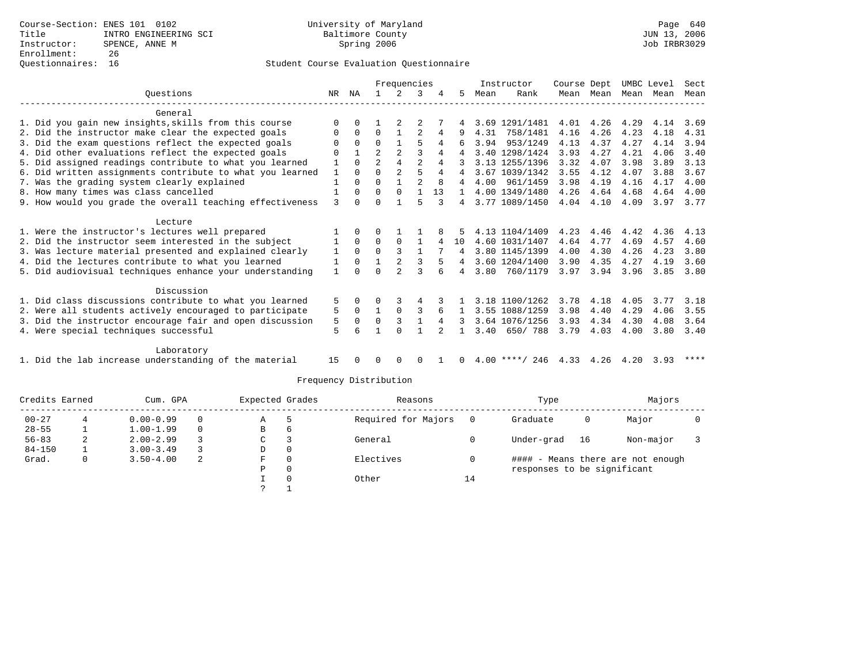|                                                           |              | Frequencies |                |                |                |              |                 |      | Instructor                      | Course Dept |           |      | UMBC Level | Sect |
|-----------------------------------------------------------|--------------|-------------|----------------|----------------|----------------|--------------|-----------------|------|---------------------------------|-------------|-----------|------|------------|------|
| Ouestions                                                 | NR           | NA          |                | 2              | 3              |              | 5               | Mean | Rank                            |             | Mean Mean |      | Mean Mean  | Mean |
| General                                                   |              |             |                |                |                |              |                 |      |                                 |             |           |      |            |      |
| 1. Did you gain new insights, skills from this course     | $\Omega$     | $\Omega$    |                |                |                |              | 4               |      | 3.69 1291/1481                  | 4.01        | 4.26      | 4.29 | 4.14       | 3.69 |
| 2. Did the instructor make clear the expected goals       | 0            | $\Omega$    | $\Omega$       |                |                | 4            |                 | 4.31 | 758/1481                        | 4.16        | 4.26      | 4.23 | 4.18       | 4.31 |
| 3. Did the exam questions reflect the expected goals      |              | $\Omega$    | $\Omega$       |                | 5              | 4            | 6               | 3.94 | 953/1249                        | 4.13        | 4.37      | 4.27 | 4.14       | 3.94 |
| 4. Did other evaluations reflect the expected goals       | 0            |             | 2              | $\overline{2}$ |                | 4            | 4               |      | 3.40 1298/1424                  | 3.93        | 4.27      | 4.21 | 4.06       | 3.40 |
| 5. Did assigned readings contribute to what you learned   |              | $\Omega$    | $\mathfrak{D}$ | 4              | $\overline{a}$ | 4            |                 |      | 3.13 1255/1396                  | 3.32        | 4.07      | 3.98 | 3.89       | 3.13 |
| 6. Did written assignments contribute to what you learned | 1            | $\Omega$    | $\Omega$       | $\overline{a}$ | 5              | 4            | 4               |      | 3.67 1039/1342                  | 3.55        | 4.12      | 4.07 | 3.88       | 3.67 |
| 7. Was the grading system clearly explained               | $\mathbf{1}$ | $\Omega$    | $\Omega$       | $\mathbf{1}$   | $\mathfrak{D}$ | $\mathsf{R}$ | 4               |      | 4.00 961/1459                   | 3.98        | 4.19      | 4.16 | 4.17       | 4.00 |
| 8. How many times was class cancelled                     | $\mathbf{1}$ | $\Omega$    | $\Omega$       | $\mathbf 0$    |                | 13           | $\mathbf{1}$    |      | 4.00 1349/1480                  | 4.26        | 4.64      | 4.68 | 4.64       | 4.00 |
| 9. How would you grade the overall teaching effectiveness | 3            | $\Omega$    | 0              |                | 5              |              | 4               |      | 3.77 1089/1450                  | 4.04        | 4.10      | 4.09 | 3.97       | 3.77 |
| Lecture                                                   |              |             |                |                |                |              |                 |      |                                 |             |           |      |            |      |
| 1. Were the instructor's lectures well prepared           |              | $\Omega$    | 0              |                |                |              | 5               |      | 4.13 1104/1409                  | 4.23        | 4.46      | 4.42 | 4.36       | 4.13 |
| 2. Did the instructor seem interested in the subject      | 1            | $\Omega$    | $\Omega$       | $\Omega$       | $\mathbf{1}$   | 4            | 10 <sup>°</sup> |      | 4.60 1031/1407                  | 4.64        | 4.77      | 4.69 | 4.57       | 4.60 |
| 3. Was lecture material presented and explained clearly   | 1            | $\Omega$    | $\Omega$       | 3              | -1             |              | 4               |      | 3.80 1145/1399                  | 4.00        | 4.30      | 4.26 | 4.23       | 3.80 |
| 4. Did the lectures contribute to what you learned        | 1            | $\mathbf 0$ | $\mathbf{1}$   | $\mathfrak{D}$ | ς              | 5            | 4               |      | 3.60 1204/1400                  | 3.90        | 4.35      | 4.27 | 4.19       | 3.60 |
| 5. Did audiovisual techniques enhance your understanding  | $\mathbf{1}$ |             |                |                |                |              | 4               | 3.80 | 760/1179                        | 3.97        | 3.94      | 3.96 | 3.85       | 3.80 |
| Discussion                                                |              |             |                |                |                |              |                 |      |                                 |             |           |      |            |      |
| 1. Did class discussions contribute to what you learned   | 5            | $\Omega$    | U              |                | 4              |              |                 |      | 3.18 1100/1262                  | 3.78        | 4.18      | 4.05 | 3.77       | 3.18 |
| 2. Were all students actively encouraged to participate   | 5            | $\Omega$    | 1              | $\Omega$       | 3              | 6            | $\mathbf{1}$    |      | 3.55 1088/1259                  | 3.98        | 4.40      | 4.29 | 4.06       | 3.55 |
| 3. Did the instructor encourage fair and open discussion  | 5            | $\Omega$    | $\Omega$       | 3              |                | 4            | 3               |      | 3.64 1076/1256                  | 3.93        | 4.34      | 4.30 | 4.08       | 3.64 |
| 4. Were special techniques successful                     | 5            | б           |                | $\Omega$       |                |              | $\mathbf{1}$    | 3.40 | 650/788                         | 3.79        | 4.03      | 4.00 | 3.80       | 3.40 |
| Laboratory                                                |              |             |                |                |                |              |                 |      |                                 |             |           |      |            |      |
| 1. Did the lab increase understanding of the material     | 15           |             | <sup>0</sup>   | $\Omega$       | 0              |              | 0               |      | $4.00$ ****/ 246 4.33 4.26 4.20 |             |           |      | 3.93       | **** |

|            | Credits Earned |               | Expected Grades<br>Cum. GPA |   |   | Reasons             |    | Type                        |    | Majors                            |  |
|------------|----------------|---------------|-----------------------------|---|---|---------------------|----|-----------------------------|----|-----------------------------------|--|
| $00 - 27$  |                | $0.00 - 0.99$ |                             | Α |   | Required for Majors |    | Graduate                    | 0  | Major                             |  |
| $28 - 55$  |                | $1.00 - 1.99$ |                             | В | 6 |                     |    |                             |    |                                   |  |
| $56 - 83$  | ∠              | $2.00 - 2.99$ |                             | C |   | General             |    | Under-grad                  | 16 | Non-major                         |  |
| $84 - 150$ |                | $3.00 - 3.49$ |                             | D | 0 |                     |    |                             |    |                                   |  |
| Grad.      |                | $3.50 - 4.00$ | -2                          | F | 0 | Electives           |    |                             |    | #### - Means there are not enough |  |
|            |                |               |                             | Р | 0 |                     |    | responses to be significant |    |                                   |  |
|            |                |               |                             |   | 0 | Other               | 14 |                             |    |                                   |  |
|            |                |               |                             |   |   |                     |    |                             |    |                                   |  |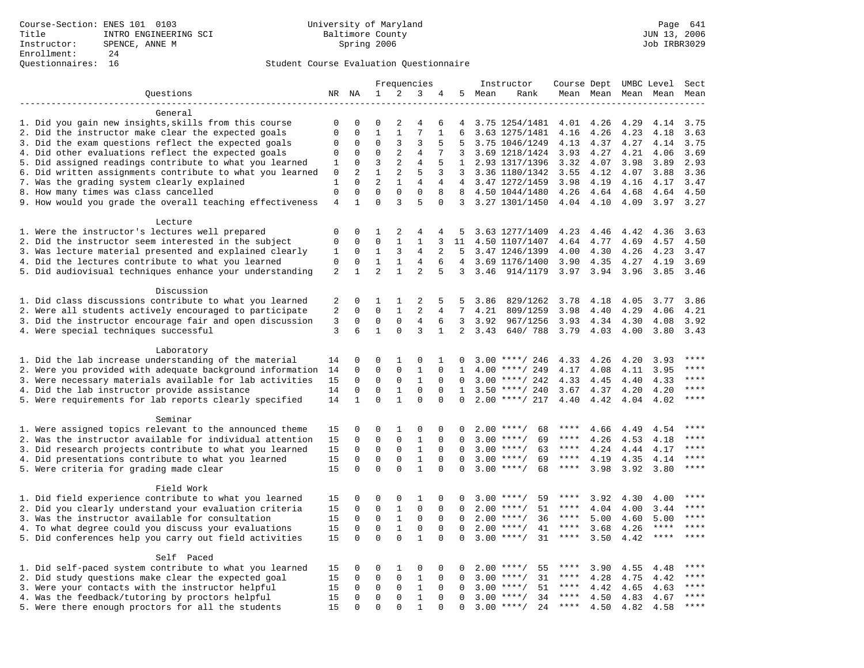|                                                                                                         | Frequencies    |               |                |                | Instructor     | Course Dept UMBC Level |                 |      |                    | Sect              |              |                     |                            |                        |
|---------------------------------------------------------------------------------------------------------|----------------|---------------|----------------|----------------|----------------|------------------------|-----------------|------|--------------------|-------------------|--------------|---------------------|----------------------------|------------------------|
| Questions                                                                                               |                | NR NA         | $\mathbf 1$    | 2              | 3              | 4                      | 5               | Mean | Rank               |                   |              | Mean Mean Mean Mean |                            | Mean                   |
|                                                                                                         |                |               |                |                |                |                        |                 |      |                    |                   |              |                     |                            |                        |
| General                                                                                                 |                |               |                |                |                |                        |                 |      |                    |                   |              |                     |                            |                        |
| 1. Did you gain new insights, skills from this course                                                   | 0              | 0             | $\mathbf 0$    | 2              | 4              | 6                      | 4               |      | 3.75 1254/1481     | 4.01              | 4.26         | 4.29                | 4.14                       | 3.75                   |
| 2. Did the instructor make clear the expected goals                                                     | $\mathbf 0$    | $\Omega$      | $\mathbf{1}$   | $\mathbf{1}$   | 7              | $\mathbf{1}$           | 6               |      | 3.63 1275/1481     | 4.16              | 4.26         | 4.23                | 4.18                       | 3.63                   |
| 3. Did the exam questions reflect the expected goals                                                    | $\mathbf 0$    | $\mathbf 0$   | $\Omega$       | 3              | 3              | 5                      | 5               |      | 3.75 1046/1249     | 4.13              | 4.37         | 4.27                | 4.14                       | 3.75                   |
| 4. Did other evaluations reflect the expected goals                                                     | $\mathbf 0$    | $\mathbf 0$   | $\mathbf 0$    | $\overline{a}$ | 4              | 7                      | 3               |      | 3.69 1218/1424     | 3.93              | 4.27         | 4.21                | 4.06                       | 3.69                   |
| 5. Did assigned readings contribute to what you learned                                                 | $\mathbf{1}$   | $\mathbf 0$   | 3              | $\overline{2}$ | $\overline{4}$ | 5                      | 1               |      | 2.93 1317/1396     | 3.32              | 4.07         | 3.98                | 3.89                       | 2.93                   |
| 6. Did written assignments contribute to what you learned                                               | 0              | 2             | $\mathbf{1}$   | 2              | 5              | 3                      | 3               |      | 3.36 1180/1342     | 3.55              | 4.12         | 4.07                | 3.88                       | 3.36                   |
| 7. Was the grading system clearly explained                                                             | 1              | $\Omega$      | $\overline{2}$ | $\mathbf{1}$   | 4              | 4                      | $\overline{4}$  |      | 3.47 1272/1459     | 3.98              | 4.19         | 4.16                | 4.17                       | 3.47                   |
| 8. How many times was class cancelled                                                                   | $\mathbf 0$    | $\mathbf 0$   | $\mathbf 0$    | $\mathbf 0$    | $\Omega$       | 8                      | 8               |      | 4.50 1044/1480     | 4.26              | 4.64         | 4.68                | 4.64                       | 4.50                   |
| 9. How would you grade the overall teaching effectiveness                                               | $\overline{4}$ | $\mathbf{1}$  | $\Omega$       | 3              | 5              | $\Omega$               |                 |      | 3 3.27 1301/1450   | 4.04 4.10         |              | 4.09                | 3.97                       | 3.27                   |
|                                                                                                         |                |               |                |                |                |                        |                 |      |                    |                   |              |                     |                            |                        |
| Lecture                                                                                                 | $\mathbf 0$    | 0             | 1              | 2              | 4              | 4                      | 5               |      | 3.63 1277/1409     |                   |              | 4.42                | 4.36                       | 3.63                   |
| 1. Were the instructor's lectures well prepared<br>2. Did the instructor seem interested in the subject | 0              | 0             | $\mathbf{0}$   | 1              | 1              | 3                      | 11              |      | 4.50 1107/1407     | 4.23<br>4.64      | 4.46<br>4.77 | 4.69                | 4.57                       | 4.50                   |
| 3. Was lecture material presented and explained clearly                                                 | 1              | 0             | $\mathbf{1}$   | 3              | 4              | 2                      | 5               |      | 3.47 1246/1399     | 4.00              | 4.30         | 4.26                | 4.23                       | 3.47                   |
| 4. Did the lectures contribute to what you learned                                                      | $\Omega$       | $\mathbf 0$   | $\mathbf{1}$   | $\mathbf{1}$   | 4              | 6                      | $\overline{4}$  |      | 3.69 1176/1400     | 3.90              | 4.35         | 4.27                | 4.19                       | 3.69                   |
| 5. Did audiovisual techniques enhance your understanding                                                | $\overline{a}$ | $\mathbf{1}$  | 2              | $\mathbf{1}$   | $\overline{2}$ | 5                      | 3               | 3.46 | 914/1179           | 3.97              | 3.94         | 3.96                | 3.85                       | 3.46                   |
|                                                                                                         |                |               |                |                |                |                        |                 |      |                    |                   |              |                     |                            |                        |
| Discussion                                                                                              |                |               |                |                |                |                        |                 |      |                    |                   |              |                     |                            |                        |
| 1. Did class discussions contribute to what you learned                                                 | 2              | 0             | 1              | 1              | 2              | 5                      | 5               | 3.86 | 829/1262           | 3.78              | 4.18         | 4.05                | 3.77                       | 3.86                   |
| 2. Were all students actively encouraged to participate                                                 | 2              | $\mathbf 0$   | $\mathbf 0$    | $\mathbf{1}$   | 2              | 4                      | $7\overline{ }$ | 4.21 | 809/1259           | 3.98              | 4.40         | 4.29                | 4.06                       | 4.21                   |
| 3. Did the instructor encourage fair and open discussion                                                | $\overline{3}$ | $\mathbf 0$   | $\mathbf{0}$   | $\mathbf 0$    | $\overline{4}$ | 6                      | 3               | 3.92 | 967/1256           | 3.93              | 4.34         | 4.30                | 4.08                       | 3.92                   |
| 4. Were special techniques successful                                                                   | 3              | 6             | $\mathbf{1}$   | $\Omega$       | 3              | $\mathbf{1}$           | $\overline{2}$  | 3.43 | 640/788            | 3.79              | 4.03         | 4.00                | 3.80                       | 3.43                   |
|                                                                                                         |                |               |                |                |                |                        |                 |      |                    |                   |              |                     |                            |                        |
| Laboratory                                                                                              |                |               |                |                |                |                        |                 |      |                    |                   |              |                     |                            |                        |
| 1. Did the lab increase understanding of the material                                                   | 14             | 0             | $\mathbf 0$    | 1              | 0              | 1                      | $\Omega$        |      | $3.00$ ****/ 246   | 4.33              | 4.26         | 4.20                | 3.93                       |                        |
| 2. Were you provided with adequate background information                                               | 14             | $\mathbf 0$   | $\mathbf{0}$   | $\mathbf 0$    | $\mathbf{1}$   | $\Omega$               | $\mathbf{1}$    |      | $4.00$ ****/ 249   | 4.17              | 4.08         | 4.11                | 3.95                       | $***$                  |
| 3. Were necessary materials available for lab activities                                                | 15             | $\Omega$      | $\Omega$       | $\mathbf 0$    | $\mathbf{1}$   | $\Omega$               | $\Omega$        |      | $3.00$ ****/ 242   | 4.33              | 4.45         | 4.40                | 4.33                       | $\star\star\star\star$ |
| 4. Did the lab instructor provide assistance                                                            | 14             | $\mathbf 0$   | $\mathbf{0}$   | $\mathbf{1}$   | $\mathbf 0$    | $\mathbf 0$            | 1               |      | $3.50$ ****/ 240   | 3.67              | 4.37         | 4.20                | 4.20                       | $***$                  |
| 5. Were requirements for lab reports clearly specified                                                  | 14             | $\mathbf{1}$  | $\mathbf{0}$   | $\mathbf{1}$   | $\mathbf{0}$   | $\Omega$               | $\Omega$        |      | $2.00$ ****/ 217   | 4.40              | 4.42         | 4.04                | 4.02                       | $***$                  |
|                                                                                                         |                |               |                |                |                |                        |                 |      |                    |                   |              |                     |                            |                        |
| Seminar                                                                                                 |                |               |                |                |                |                        |                 |      |                    |                   |              |                     |                            |                        |
| 1. Were assigned topics relevant to the announced theme                                                 | 15             | 0             | $\mathbf{0}$   | 1              | 0              | 0                      |                 |      | $2.00$ ****/<br>68 | ****              | 4.66         | 4.49                | 4.54                       | ****                   |
| 2. Was the instructor available for individual attention                                                | 15             | 0             | $\mathbf 0$    | $\mathbf 0$    | $\mathbf{1}$   | $\mathbf 0$            | $\Omega$        | 3.00 | $***/$<br>69       | $***$ * *         | 4.26         | 4.53                | 4.18                       | ****                   |
| 3. Did research projects contribute to what you learned                                                 | 15             | $\mathbf 0$   | $\mathbf 0$    | $\mathsf 0$    | $\,1\,$        | $\mathbf 0$            | $\mathbf 0$     |      | $3.00$ ****/<br>63 | $***$ * *         | 4.24         | 4.44                | 4.17                       | ****                   |
| 4. Did presentations contribute to what you learned                                                     | 15             | $\mathbf 0$   | $\mathbf 0$    | $\mathbf 0$    | $\mathbf{1}$   | $\mathbf 0$            | $\Omega$        | 3.00 | $***$ /<br>69      | $***$ * * *       | 4.19         | 4.35                | 4.14                       | $***$                  |
| 5. Were criteria for grading made clear                                                                 | 15             | $\mathbf 0$   | $\mathbf{0}$   | $\Omega$       | $\mathbf{1}$   | $\Omega$               | $\Omega$        |      | $3.00$ ****/<br>68 | ****              | 3.98         | 3.92                | 3.80                       | $***$                  |
|                                                                                                         |                |               |                |                |                |                        |                 |      |                    |                   |              |                     |                            |                        |
| Field Work                                                                                              |                |               |                |                |                | $\Omega$               |                 |      | $3.00$ ****/<br>59 | ****              |              |                     |                            | * * * *                |
| 1. Did field experience contribute to what you learned                                                  | 15             | 0<br>$\Omega$ | $\mathbf 0$    | $\mathbf 0$    | 1<br>$\Omega$  |                        | $\Omega$        |      |                    |                   | 3.92         | 4.30                | 4.00                       | $***$                  |
| 2. Did you clearly understand your evaluation criteria                                                  | 15             |               | $\mathsf 0$    | $\mathbf{1}$   |                | $\Omega$               | $\Omega$        | 2.00 | 51<br>$***$ /      | ****<br>$***$ * * | 4.04         | 4.00                | 3.44                       | $***$                  |
| 3. Was the instructor available for consultation                                                        | 15             | $\mathbf 0$   | $\mathsf 0$    | $\mathbf{1}$   | $\mathbf 0$    | $\mathbf 0$            | $\Omega$        |      | $2.00$ ****/<br>36 |                   | 5.00         | 4.60                | 5.00                       | $***$                  |
| 4. To what degree could you discuss your evaluations                                                    | 15             | 0             | $\mathbf{0}$   | $\mathbf{1}$   | $\mathsf 0$    | $\mathbf 0$            | $\Omega$        |      | $2.00$ ****/<br>41 | $***$ * * *       | 3.68         | 4.26                | $***$ * * *<br>$***$ * * * | ****                   |
| 5. Did conferences help you carry out field activities                                                  | 15             | $\Omega$      | $\Omega$       | $\Omega$       | $\mathbf{1}$   | $\Omega$               | $\Omega$        |      | 31<br>$3.00$ ****/ | $***$ * *         | 3.50         | 4.42                |                            |                        |
| Self Paced                                                                                              |                |               |                |                |                |                        |                 |      |                    |                   |              |                     |                            |                        |
| 1. Did self-paced system contribute to what you learned                                                 | 15             | 0             | $\mathbf 0$    | 1              | 0              | $\Omega$               | $\Omega$        |      | 55<br>$2.00$ ****/ | ****              | 3.90         | 4.55                | 4.48                       | $***$ * * *            |
| 2. Did study questions make clear the expected goal                                                     | 15             | $\mathbf 0$   | $\mathbf 0$    | $\mathbf 0$    | $\mathbf{1}$   | $\mathbf 0$            | $\Omega$        | 3.00 | $***$ /<br>31      | $***$ * * *       | 4.28         | 4.75                | 4.42                       | $***$                  |
| 3. Were your contacts with the instructor helpful                                                       | 15             | 0             | $\mathbf 0$    | 0              | 1              | $\mathbf 0$            | $\Omega$        | 3.00 | 51<br>$***/$       | ****              | 4.42         | 4.65                | 4.63                       | ****                   |
| 4. Was the feedback/tutoring by proctors helpful                                                        | 15             | 0             | $\mathbf{0}$   | $\mathbf 0$    | $\mathbf{1}$   | $\Omega$               | $\Omega$        | 3.00 | $***/$<br>34       | ****              | 4.50         | 4.83                | 4.67                       | ****                   |
| 5. Were there enough proctors for all the students                                                      | 15             | $\Omega$      | $\mathbf{0}$   | $\Omega$       | $\mathbf{1}$   | $\Omega$               | $\Omega$        |      | $3.00$ ****/<br>24 | $***$ * * *       | 4.50         | 4.82                | 4.58                       | ****                   |
|                                                                                                         |                |               |                |                |                |                        |                 |      |                    |                   |              |                     |                            |                        |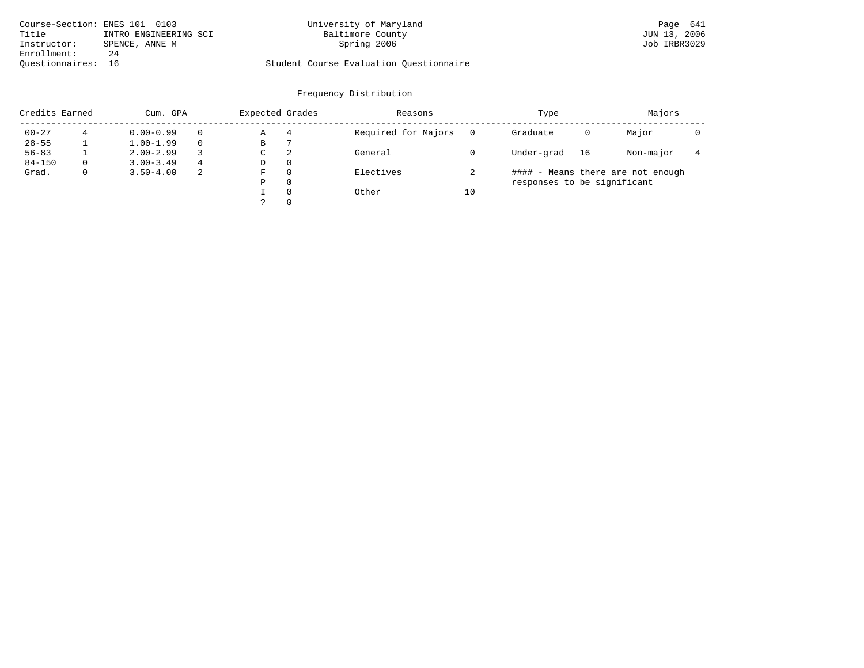| Course-Section: ENES 101 0103 |                       | University of Maryland                  | Page 641     |
|-------------------------------|-----------------------|-----------------------------------------|--------------|
| Title                         | INTRO ENGINEERING SCI | Baltimore County                        | JUN 13, 2006 |
| Instructor:                   | SPENCE, ANNE M        | Spring 2006                             | Job IRBR3029 |
| Enrollment:                   | 24                    |                                         |              |
| Ouestionnaires: 16            |                       | Student Course Evaluation Questionnaire |              |

| Credits Earned |              | Cum. GPA      |    |   | Expected Grades | Reasons             |    | Type                        |    | Majors                            |  |
|----------------|--------------|---------------|----|---|-----------------|---------------------|----|-----------------------------|----|-----------------------------------|--|
| $00 - 27$      |              | $0.00 - 0.99$ |    | Α | 4               | Required for Majors |    | Graduate                    | 0  | Major                             |  |
| $28 - 55$      |              | $1.00 - 1.99$ |    | В |                 |                     |    |                             |    |                                   |  |
| $56 - 83$      |              | $2.00 - 2.99$ |    | C | 2               | General             |    | Under-grad                  | 16 | Non-major                         |  |
| $84 - 150$     | $\Omega$     | $3.00 - 3.49$ | 4  | D | $\Omega$        |                     |    |                             |    |                                   |  |
| Grad.          | $\mathbf{0}$ | $3.50 - 4.00$ | -2 | F | $\Omega$        | Electives           |    |                             |    | #### - Means there are not enough |  |
|                |              |               |    | Ρ | $\Omega$        |                     |    | responses to be significant |    |                                   |  |
|                |              |               |    |   | $\Omega$        | Other               | 10 |                             |    |                                   |  |
|                |              |               |    |   | $\Omega$        |                     |    |                             |    |                                   |  |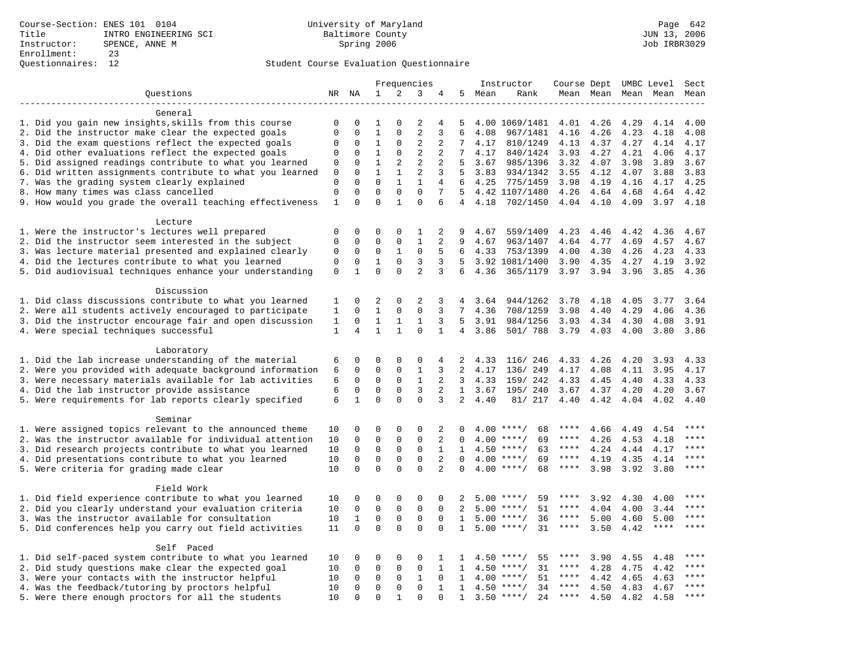|                                                           | Frequencies     |              |              |              | Instructor     | Course Dept UMBC Level |                 |      |                    | Sect        |               |      |             |             |
|-----------------------------------------------------------|-----------------|--------------|--------------|--------------|----------------|------------------------|-----------------|------|--------------------|-------------|---------------|------|-------------|-------------|
| Questions                                                 |                 | NR NA        | 1            | 2            | 3              | 4                      | 5               | Mean | Rank               |             | Mean Mean     |      | Mean Mean   | Mean        |
|                                                           |                 |              |              |              |                |                        |                 |      |                    |             |               |      |             |             |
| General                                                   |                 |              |              |              |                |                        |                 |      |                    |             |               |      |             |             |
| 1. Did you gain new insights, skills from this course     | 0               | 0            | 1            |              | 2              | 4                      | 5               |      | 4.00 1069/1481     | 4.01        | 4.26          | 4.29 | 4.14        | 4.00        |
| 2. Did the instructor make clear the expected goals       | 0               | $\mathbf 0$  | $\mathbf{1}$ | 0            | $\overline{2}$ | 3                      | 6               | 4.08 | 967/1481           | 4.16        | 4.26          | 4.23 | 4.18        | 4.08        |
| 3. Did the exam questions reflect the expected goals      | $\mathbf 0$     | $\mathbf 0$  | $\mathbf 1$  | 0            | 2              | 2                      | 7               | 4.17 | 810/1249           | 4.13        | 4.37          | 4.27 | 4.14        | 4.17        |
| 4. Did other evaluations reflect the expected goals       | $\mathbf 0$     | $\mathbf 0$  | $\mathbf{1}$ | $\mathbf{0}$ | $\overline{2}$ | 2                      | $7\overline{ }$ | 4.17 | 840/1424           | 3.93        | 4.27          | 4.21 | 4.06        | 4.17        |
| 5. Did assigned readings contribute to what you learned   | 0               | $\mathbf 0$  | $\mathbf{1}$ | 2            | $\overline{2}$ | 2                      | 5               | 3.67 | 985/1396           | 3.32        | 4.07          | 3.98 | 3.89        | 3.67        |
| 6. Did written assignments contribute to what you learned | $\mathbf 0$     | $\Omega$     | $\mathbf{1}$ | $\mathbf{1}$ | $\overline{2}$ | 3                      | 5               | 3.83 | 934/1342           | 3.55        | 4.12          | 4.07 | 3.88        | 3.83        |
| 7. Was the grading system clearly explained               | $\mathbf{0}$    | $\mathbf{0}$ | $\Omega$     | $\mathbf{1}$ | $\mathbf{1}$   | $\overline{4}$         | 6               | 4.25 | 775/1459           | 3.98        | 4.19          | 4.16 | 4.17        | 4.25        |
| 8. How many times was class cancelled                     | $\mathbf 0$     | $\mathbf 0$  | $\mathbf 0$  | $\mathbf{0}$ | $\mathbf{0}$   | 7                      | 5               |      | 4.42 1107/1480     | 4.26        | 4.64          | 4.68 | 4.64        | 4.42        |
| 9. How would you grade the overall teaching effectiveness | $\mathbf{1}$    | $\Omega$     | $\Omega$     | $\mathbf{1}$ | $\Omega$       | 6                      | $\overline{4}$  | 4.18 | 702/1450           | 4.04 4.10   |               | 4.09 | 3.97        | 4.18        |
| Lecture                                                   |                 |              |              |              |                |                        |                 |      |                    |             |               |      |             |             |
| 1. Were the instructor's lectures well prepared           | $\mathbf 0$     | 0            | 0            | $\mathbf 0$  | 1              | 2                      | 9               | 4.67 | 559/1409           | 4.23        | 4.46          | 4.42 | 4.36        | 4.67        |
| 2. Did the instructor seem interested in the subject      | $\mathbf{0}$    | $\mathbf 0$  | $\mathbf 0$  | $\mathbf{0}$ | $\mathbf{1}$   | 2                      | 9               | 4.67 | 963/1407           | 4.64        | 4.77          | 4.69 | 4.57        | 4.67        |
| 3. Was lecture material presented and explained clearly   | 0               | 0            | 0            | $\mathbf{1}$ | $\mathbf 0$    | 5                      | 6               | 4.33 | 753/1399           | 4.00        | 4.30          | 4.26 | 4.23        | 4.33        |
| 4. Did the lectures contribute to what you learned        | 0               | $\mathbf 0$  | 1            | 0            | 3              | 3                      | 5               |      | 3.92 1081/1400     | 3.90        | 4.35          | 4.27 | 4.19        | 3.92        |
| 5. Did audiovisual techniques enhance your understanding  | $\mathbf{0}$    | $\mathbf{1}$ | $\Omega$     | $\Omega$     | $\overline{2}$ | 3                      | 6               | 4.36 | 365/1179           |             | $3.97$ $3.94$ | 3.96 | 3.85        | 4.36        |
| Discussion                                                |                 |              |              |              |                |                        |                 |      |                    |             |               |      |             |             |
| 1. Did class discussions contribute to what you learned   | 1               | $\Omega$     | 2            | $\Omega$     | 2              | 3                      | 4               | 3.64 | 944/1262           | 3.78        | 4.18          | 4.05 | 3.77        | 3.64        |
| 2. Were all students actively encouraged to participate   | 1               | $\Omega$     | $\mathbf{1}$ | $\Omega$     | $\Omega$       | 3                      | 7               | 4.36 | 708/1259           | 3.98        | 4.40          | 4.29 | 4.06        | 4.36        |
| 3. Did the instructor encourage fair and open discussion  | 1               | $\mathbf 0$  | $\mathbf{1}$ | 1            | 1              | 3                      | .5              | 3.91 | 984/1256           | 3.93        | 4.34          | 4.30 | 4.08        | 3.91        |
| 4. Were special techniques successful                     | $1\,$           | 4            | $\mathbf{1}$ | $\mathbf{1}$ | $\mathbf 0$    | $\mathbf{1}$           | $\overline{4}$  | 3.86 | 501/ 788           | 3.79        | 4.03          | 4.00 | 3.80        | 3.86        |
|                                                           |                 |              |              |              |                |                        |                 |      |                    |             |               |      |             |             |
| Laboratory                                                |                 |              |              |              |                |                        |                 |      |                    |             |               |      |             |             |
| 1. Did the lab increase understanding of the material     | 6               | $\mathbf 0$  | 0            | $\mathbf 0$  | 0              | 4                      | 2               | 4.33 | 116/ 246           | 4.33        | 4.26          | 4.20 | 3.93        | 4.33        |
| 2. Were you provided with adequate background information | 6               | $\Omega$     | $\Omega$     | $\Omega$     | $\mathbf{1}$   | 3                      | $\overline{2}$  | 4.17 | 136/ 249           | 4.17        | 4.08          | 4.11 | 3.95        | 4.17        |
| 3. Were necessary materials available for lab activities  | 6               | $\mathbf 0$  | $\mathbf 0$  | $\mathbf{0}$ | $\mathbf{1}$   | 2                      | 3               | 4.33 | 159/ 242           | 4.33        | 4.45          | 4.40 | 4.33        | 4.33        |
| 4. Did the lab instructor provide assistance              | 6               | $\mathbf 0$  | 0            | $\mathbf 0$  | 3              | 2                      | $\mathbf{1}$    | 3.67 | 195/ 240           | 3.67        | 4.37          | 4.20 | 4.20        | 3.67        |
| 5. Were requirements for lab reports clearly specified    | $6\phantom{1}6$ | $\mathbf{1}$ | $\mathbf 0$  | $\mathbf 0$  | $\mathbf 0$    | 3                      | 2               | 4.40 | 81/ 217            | 4.40        | 4.42          | 4.04 | 4.02        | 4.40        |
| Seminar                                                   |                 |              |              |              |                |                        |                 |      |                    |             |               |      |             |             |
| 1. Were assigned topics relevant to the announced theme   | 10              | 0            | 0            | 0            | $\Omega$       | 2                      | 0               | 4.00 | $***$ /<br>68      | ****        | 4.66          | 4.49 | 4.54        | $***$       |
| 2. Was the instructor available for individual attention  | 10              | $\mathbf 0$  | $\mathbf 0$  | $\mathbf 0$  | $\mathbf{0}$   | 2                      | $\Omega$        | 4.00 | 69<br>$***/$       | ****        | 4.26          | 4.53 | 4.18        | ****        |
| 3. Did research projects contribute to what you learned   | 10              | $\mathbf{0}$ | $\mathbf 0$  | $\mathbf{0}$ | $\mathbf 0$    | $\mathbf{1}$           | $\mathbf{1}$    |      | $4.50$ ****/<br>63 | $***$ * * * | 4.24          | 4.44 | 4.17        | ****        |
| 4. Did presentations contribute to what you learned       | 10              | $\mathbf 0$  | 0            | $\mathsf 0$  | $\mathbf 0$    | 2                      | $\Omega$        |      | $4.00$ ****/<br>69 | $***$ * * * | 4.19          | 4.35 | 4.14        | ****        |
| 5. Were criteria for grading made clear                   | 10              | $\Omega$     | $\Omega$     | $\Omega$     | $\Omega$       | $\overline{2}$         | $\Omega$        |      | $4.00$ ****/<br>68 | $***$ * * * | 3.98          | 3.92 | 3.80        | $***$       |
|                                                           |                 |              |              |              |                |                        |                 |      |                    |             |               |      |             |             |
| Field Work                                                |                 |              |              |              |                |                        |                 |      |                    |             |               |      |             |             |
| 1. Did field experience contribute to what you learned    | 10              | 0            | 0            | 0            | 0              | 0                      | 2               |      | 59<br>$5.00$ ****/ | ****        | 3.92          | 4.30 | 4.00        | ****        |
| 2. Did you clearly understand your evaluation criteria    | 10              | $\mathbf 0$  | $\mathbf 0$  | $\mathbf{0}$ | $\mathbf 0$    | $\Omega$               | $\overline{2}$  |      | $5.00$ ****/<br>51 | $***$ * * * | 4.04          | 4.00 | 3.44        | ****        |
| 3. Was the instructor available for consultation          | 10              | $\mathbf{1}$ | $\mathbf 0$  | $\mathbf{0}$ | $\mathbf 0$    | $\mathbf 0$            | $\mathbf{1}$    |      | $5.00$ ****/<br>36 | $***$ * * * | 5.00          | 4.60 | 5.00        | $***$       |
| 5. Did conferences help you carry out field activities    | 11              | $\Omega$     | $\mathbf 0$  | $\Omega$     | $\mathbf{0}$   | $\Omega$               | 1               |      | 31<br>$5.00$ ****/ | $***$ * * * | 3.50          | 4.42 | $***$ * * * | ****        |
| Self Paced                                                |                 |              |              |              |                |                        |                 |      |                    |             |               |      |             |             |
| 1. Did self-paced system contribute to what you learned   | 10              | 0            | 0            | 0            | $\Omega$       | 1                      | 1               | 4.50 | $***$ /<br>55      | ****        | 3.90          | 4.55 | 4.48        | $***$ * * * |
| 2. Did study questions make clear the expected goal       | 10              | $\Omega$     | 0            | $\mathsf 0$  | $\mathbf 0$    | $\mathbf{1}$           | $\mathbf{1}$    | 4.50 | $***/$<br>31       | $***$ * * * | 4.28          | 4.75 | 4.42        | $***$       |
| 3. Were your contacts with the instructor helpful         | 10              | $\Omega$     | $\mathbf 0$  | $\Omega$     | 1              | $\Omega$               | $\mathbf{1}$    | 4.00 | 51<br>$***/$       | $***$ * * * | 4.42          | 4.65 | 4.63        | ****        |
| 4. Was the feedback/tutoring by proctors helpful          |                 | $\mathbf 0$  | $\mathbf 0$  | $\mathbf 0$  | $\mathbf 0$    | $\mathbf{1}$           | $\mathbf{1}$    |      | $4.50$ ****/<br>34 | ****        | 4.50          | 4.83 | 4.67        | ****        |
| 5. Were there enough proctors for all the students        | 10              | $\mathbf 0$  | $\mathbf 0$  | 1            | $\Omega$       | $\Omega$               | 1               |      | 24<br>$3.50$ ****/ | ****        | 4.50          | 4.82 | 4.58        | ****        |
|                                                           |                 |              |              |              |                |                        |                 |      |                    |             |               |      |             |             |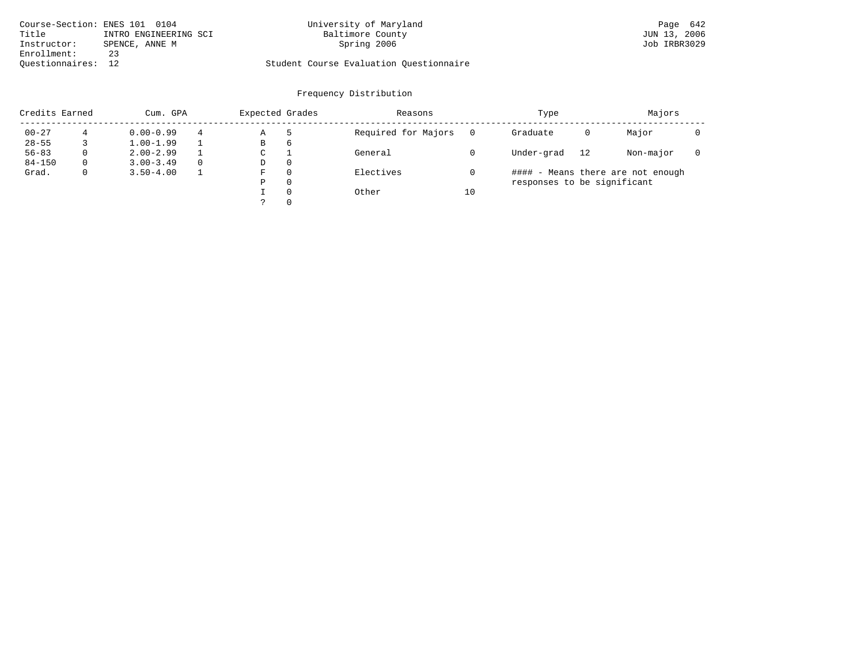| Course-Section: ENES 101 0104 |                       | University of Maryland                  | Page 642     |
|-------------------------------|-----------------------|-----------------------------------------|--------------|
| Title                         | INTRO ENGINEERING SCI | Baltimore County                        | JUN 13, 2006 |
| Instructor:                   | SPENCE, ANNE M        | Spring 2006                             | Job IRBR3029 |
| Enrollment:                   | 23                    |                                         |              |
| Ouestionnaires: 12            |                       | Student Course Evaluation Questionnaire |              |

|            | Credits Earned |               | Expected Grades<br>Cum. GPA |   |          | Reasons             |    | Type                        | Majors |                                   |  |
|------------|----------------|---------------|-----------------------------|---|----------|---------------------|----|-----------------------------|--------|-----------------------------------|--|
| $00 - 27$  |                | $0.00 - 0.99$ | 4                           | Α |          | Required for Majors |    | Graduate                    | 0      | Major                             |  |
| $28 - 55$  |                | $1.00 - 1.99$ |                             | В | 6        |                     |    |                             |        |                                   |  |
| $56 - 83$  | 0              | $2.00 - 2.99$ |                             | C |          | General             |    | Under-grad                  | 12     | Non-major                         |  |
| $84 - 150$ | 0              | $3.00 - 3.49$ | $\Omega$                    | D | 0        |                     |    |                             |        |                                   |  |
| Grad.      | $\mathbf{0}$   | $3.50 - 4.00$ |                             | F | $\Omega$ | Electives           |    |                             |        | #### - Means there are not enough |  |
|            |                |               |                             | P | $\Omega$ |                     |    | responses to be significant |        |                                   |  |
|            |                |               |                             |   | $\Omega$ | Other               | 10 |                             |        |                                   |  |
|            |                |               |                             |   | $\Omega$ |                     |    |                             |        |                                   |  |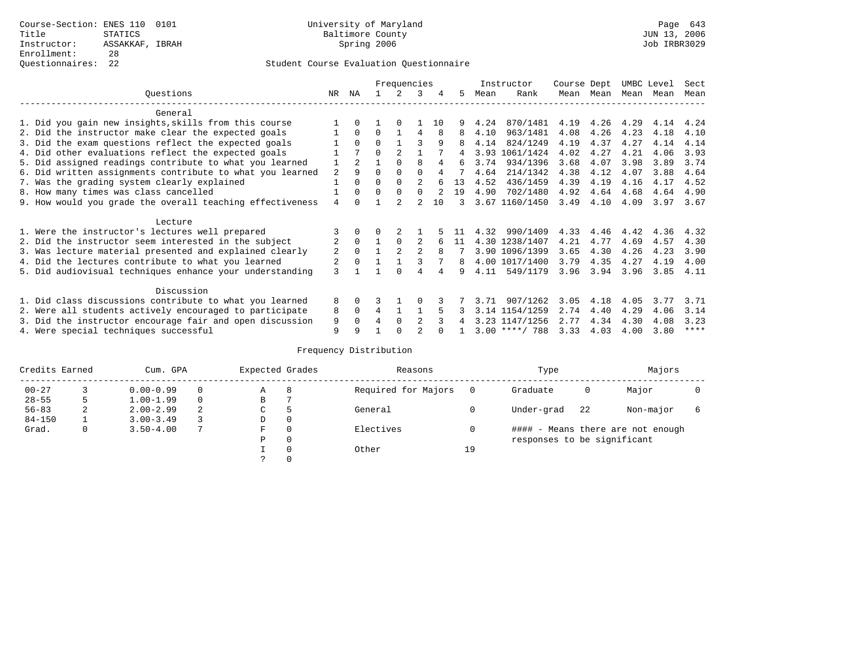|                                                           |     |          |                | Frequencies |                |    |    |      | Instructor       | Course Dept |           | UMBC Level |      | Sect |
|-----------------------------------------------------------|-----|----------|----------------|-------------|----------------|----|----|------|------------------|-------------|-----------|------------|------|------|
| Ouestions                                                 | NR. | ΝA       |                |             | २              |    | 5. | Mean | Rank             |             | Mean Mean | Mean Mean  |      | Mean |
| General                                                   |     |          |                |             |                |    |    |      |                  |             |           |            |      |      |
| 1. Did you gain new insights, skills from this course     |     |          |                |             |                | 10 |    | 4.24 | 870/1481         | 4.19        | 4.26      | 4.29       | 4.14 | 4.24 |
| 2. Did the instructor make clear the expected goals       |     | $\Omega$ | 0              |             | 4              | 8  | 8  | 4.10 | 963/1481         | 4.08        | 4.26      | 4.23       | 4.18 | 4.10 |
| 3. Did the exam questions reflect the expected goals      |     | $\Omega$ | $\Omega$       |             | ς              | 9  | 8  | 4.14 | 824/1249         | 4.19        | 4.37      | 4.27       | 4.14 | 4.14 |
| 4. Did other evaluations reflect the expected goals       |     |          | $\Omega$       |             |                |    | 4  | 3.93 | 1061/1424        | 4.02        | 4.27      | 4.21       | 4.06 | 3.93 |
| 5. Did assigned readings contribute to what you learned   |     |          |                | $\Omega$    | 8              |    | б. | 3.74 | 934/1396         | 3.68        | 4.07      | 3.98       | 3.89 | 3.74 |
| 6. Did written assignments contribute to what you learned | 2   | 9        | $\Omega$       | $\Omega$    | $\Omega$       |    |    | 4.64 | 214/1342         | 4.38        | 4.12      | 4.07       | 3.88 | 4.64 |
| 7. Was the grading system clearly explained               |     | $\Omega$ | $\Omega$       |             | $\mathcal{D}$  |    | 13 | 4.52 | 436/1459         | 4.39        | 4.19      | 4.16       | 4.17 | 4.52 |
| 8. How many times was class cancelled                     |     | $\Omega$ | O              | $\Omega$    |                |    | 19 | 4.90 | 702/1480         | 4.92        | 4.64      | 4.68       | 4.64 | 4.90 |
| 9. How would you grade the overall teaching effectiveness | 4   | ∩        |                |             |                | 10 |    |      | 3.67 1160/1450   | 3.49        | 4.10      | 4.09       | 3.97 | 3.67 |
| Lecture                                                   |     |          |                |             |                |    |    |      |                  |             |           |            |      |      |
| 1. Were the instructor's lectures well prepared           |     |          |                |             |                |    |    | 4.32 | 990/1409         | 4.33        | 4.46      | 4.42       | 4.36 | 4.32 |
| 2. Did the instructor seem interested in the subject      | 2   | $\Omega$ |                | $\Omega$    |                |    | 11 |      | 4.30 1238/1407   | 4.21        | 4.77      | 4.69       | 4.57 | 4.30 |
| 3. Was lecture material presented and explained clearly   | 2   | $\Omega$ |                |             | $\mathfrak{D}$ | 8  |    |      | 3.90 1096/1399   | 3.65        | 4.30      | 4.26       | 4.23 | 3.90 |
| 4. Did the lectures contribute to what you learned        | 2   | $\Omega$ |                |             |                |    | 8  |      | 4.00 1017/1400   | 3.79        | 4.35      | 4.27       | 4.19 | 4.00 |
| 5. Did audiovisual techniques enhance your understanding  | 3   |          |                |             |                |    | q  | 4.11 | 549/1179         | 3.96        | 3.94      | 3.96       | 3.85 | 4.11 |
| Discussion                                                |     |          |                |             |                |    |    |      |                  |             |           |            |      |      |
| 1. Did class discussions contribute to what you learned   | 8   | 0        |                |             |                |    |    |      | 907/1262         | 3.05        | 4.18      | 4.05       | 3.77 | 3.71 |
| 2. Were all students actively encouraged to participate   | 8   | $\Omega$ | $\overline{4}$ |             |                |    |    | 3.14 | 1154/1259        | 2.74        | 4.40      | 4.29       | 4.06 | 3.14 |
| 3. Did the instructor encourage fair and open discussion  | 9   | $\Omega$ |                | $\Omega$    |                |    |    |      | 3.23 1147/1256   | 2.77        | 4.34      | 4.30       | 4.08 | 3.23 |
| 4. Were special techniques successful                     | 9   |          |                |             |                |    |    |      | $3.00$ ****/ 788 | 3.33        | 4.03      | 4.00       | 3.80 | **** |

| Credits Earned |   | Cum. GPA      |   | Expected Grades |          | Reasons             |          | Type                        |    | Majors                            |  |
|----------------|---|---------------|---|-----------------|----------|---------------------|----------|-----------------------------|----|-----------------------------------|--|
| $00 - 27$      |   | $0.00 - 0.99$ |   | А               | 8        | Required for Majors | $\Omega$ | Graduate                    | 0  | Major                             |  |
| $28 - 55$      | 5 | $1.00 - 1.99$ |   | В               |          |                     |          |                             |    |                                   |  |
| $56 - 83$      | 2 | $2.00 - 2.99$ | 2 | $\sim$<br>◡     |          | General             |          | Under-grad                  | 22 | Non-major                         |  |
| $84 - 150$     |   | $3.00 - 3.49$ |   | D               | 0        |                     |          |                             |    |                                   |  |
| Grad.          | 0 | $3.50 - 4.00$ |   | F               | 0        | Electives           | 0        |                             |    | #### - Means there are not enough |  |
|                |   |               |   | Ρ               | 0        |                     |          | responses to be significant |    |                                   |  |
|                |   |               |   |                 | $\Omega$ | Other               | 19       |                             |    |                                   |  |
|                |   |               |   |                 |          |                     |          |                             |    |                                   |  |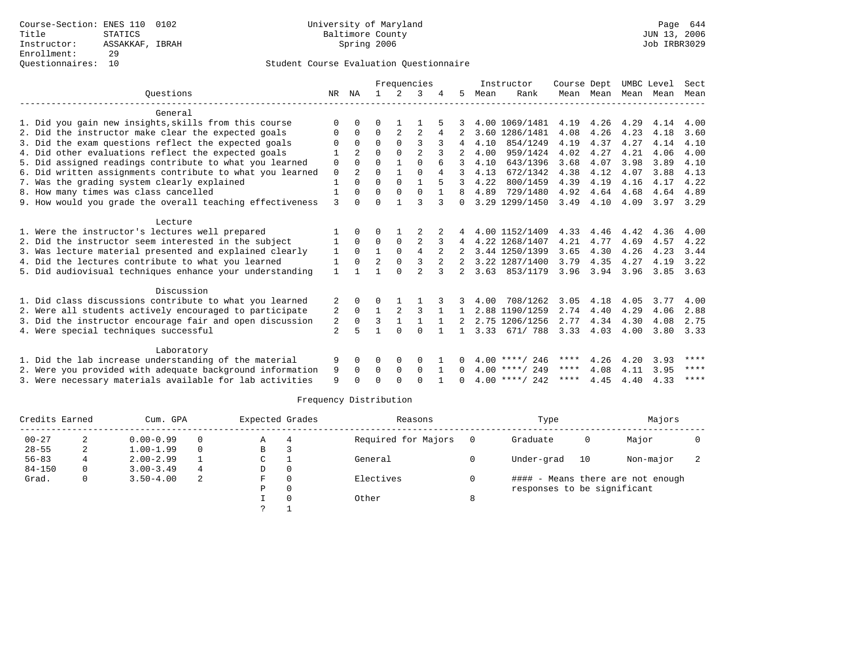|                                                           |                |                |                |              | Frequencies    |                |              |      | Instructor       | Course Dept       |           |      | UMBC Level | Sect         |
|-----------------------------------------------------------|----------------|----------------|----------------|--------------|----------------|----------------|--------------|------|------------------|-------------------|-----------|------|------------|--------------|
| Ouestions                                                 | NR             | ΝA             |                | 2            | 3              |                | 5            | Mean | Rank             |                   | Mean Mean | Mean | Mean       | Mean         |
| General                                                   |                |                |                |              |                |                |              |      |                  |                   |           |      |            |              |
| 1. Did you gain new insights, skills from this course     | $\Omega$       | $\Omega$       | $\Omega$       |              |                |                |              |      | 4.00 1069/1481   | 4.19              | 4.26      | 4.29 | 4.14       | 4.00         |
| 2. Did the instructor make clear the expected goals       | O              | $\Omega$       | $\Omega$       | 2            | $\overline{2}$ | 4              |              |      | 3.60 1286/1481   | 4.08              | 4.26      | 4.23 | 4.18       | 3.60         |
| 3. Did the exam questions reflect the expected goals      | $\Omega$       | $\Omega$       | $\Omega$       | $\Omega$     | ζ              |                |              | 4.10 | 854/1249         | 4.19              | 4.37      | 4.27 | 4.14       | 4.10         |
| 4. Did other evaluations reflect the expected goals       |                | 2              | 0              | $\Omega$     | $\overline{a}$ |                |              | 4.00 | 959/1424         | 4.02              | 4.27      | 4.21 | 4.06       | 4.00         |
| 5. Did assigned readings contribute to what you learned   | 0              | $\Omega$       | $\Omega$       | $\mathbf{1}$ | $\Omega$       |                |              | 4.10 | 643/1396         | 3.68              | 4.07      | 3.98 | 3.89       | 4.10         |
| 6. Did written assignments contribute to what you learned | 0              | $\overline{a}$ | $\Omega$       | $\mathbf{1}$ | $\Omega$       | 4              |              | 4.13 | 672/1342         | 4.38              | 4.12      | 4.07 | 3.88       | 4.13         |
| 7. Was the grading system clearly explained               | $\mathbf{1}$   | $\Omega$       | $\Omega$       | $\Omega$     | $\mathbf{1}$   | 5              | 3            | 4.22 | 800/1459         | 4.39              | 4.19      | 4.16 | 4.17       | 4.22         |
| 8. How many times was class cancelled                     | $\mathbf{1}$   | $\Omega$       | $\Omega$       | $\Omega$     | $\Omega$       |                |              | 4.89 | 729/1480         | 4.92              | 4.64      | 4.68 | 4.64       | 4.89         |
| 9. How would you grade the overall teaching effectiveness | 3              | $\Omega$       | O              | $\mathbf{1}$ | ς              | ζ              | $\Omega$     |      | 3.29 1299/1450   | 3.49              | 4.10      | 4.09 | 3.97       | 3.29         |
| Lecture                                                   |                |                |                |              |                |                |              |      |                  |                   |           |      |            |              |
| 1. Were the instructor's lectures well prepared           |                | $\Omega$       | 0              |              | 2              | 2              |              |      | 4.00 1152/1409   | 4.33              | 4.46      | 4.42 | 4.36       | 4.00         |
| 2. Did the instructor seem interested in the subject      | 1              | $\Omega$       | $\Omega$       | $\mathbf 0$  | $\overline{2}$ |                | 4            |      | 4.22 1268/1407   | 4.21              | 4.77      | 4.69 | 4.57       | 4.22         |
| 3. Was lecture material presented and explained clearly   | 1              | $\mathbf{0}$   | $\mathbf{1}$   | $\mathbf 0$  | 4              | 2              |              |      | 3.44 1250/1399   | 3.65              | 4.30      | 4.26 | 4.23       | 3.44         |
| 4. Did the lectures contribute to what you learned        | -1             | $\Omega$       | $\overline{a}$ | $\Omega$     | 3              | $\overline{2}$ |              |      | 3.22 1287/1400   | 3.79              | 4.35      | 4.27 | 4.19       | 3.22         |
| 5. Did audiovisual techniques enhance your understanding  | $\mathbf{1}$   |                |                | $\cap$       | $\overline{a}$ |                | $2^{\circ}$  |      | 3.63 853/1179    | 3.96              | 3.94      | 3.96 | 3.85       | 3.63         |
| Discussion                                                |                |                |                |              |                |                |              |      |                  |                   |           |      |            |              |
| 1. Did class discussions contribute to what you learned   | 2              | $\Omega$       | $\Omega$       | 1            |                |                | 3            | 4.00 | 708/1262         | 3.05              | 4.18      | 4.05 | 3.77       | 4.00         |
| 2. Were all students actively encouraged to participate   | 2              | $\Omega$       | $\mathbf{1}$   | 2            | 3              | 1              | $\mathbf{1}$ |      | 2.88 1190/1259   | 2.74              | 4.40      | 4.29 | 4.06       | 2.88         |
| 3. Did the instructor encourage fair and open discussion  | 2              | $\Omega$       | 3              | $\mathbf{1}$ |                | $\mathbf{1}$   |              |      | 2.75 1206/1256   | 2.77              | 4.34      | 4.30 | 4.08       | 2.75         |
| 4. Were special techniques successful                     | $\overline{2}$ | 5              |                | $\Omega$     | $\Omega$       |                |              |      | 3.33 671/ 788    | $3.33 \quad 4.03$ |           | 4.00 | 3.80       | 3.33         |
|                                                           |                |                |                |              |                |                |              |      |                  |                   |           |      |            |              |
| Laboratory                                                |                |                |                |              |                |                |              |      |                  |                   |           |      |            |              |
| 1. Did the lab increase understanding of the material     | 9              | $\Omega$       | $\Omega$       | $\Omega$     | $\Omega$       |                | 0            |      | $4.00$ ****/ 246 | ****              | 4.26      | 4.20 | 3.93       | $* * * *$    |
| 2. Were you provided with adequate background information | 9              | $\Omega$       | $\Omega$       | $\Omega$     | $\Omega$       | $\overline{1}$ | $\Omega$     |      | $4.00$ ****/ 249 | ****              | 4.08      | 4.11 | 3.95       | ****<br>**** |
| 3. Were necessary materials available for lab activities  | 9              |                | U              | $\cap$       | $\Omega$       |                | $\cap$       |      | $4.00$ ****/ 242 | ****              | 4.45      | 4.40 | 4.33       |              |

| Credits Earned |   | Cum. GPA      |          | Expected Grades |          | Reasons             |     | Type                        |    | Majors                            |  |
|----------------|---|---------------|----------|-----------------|----------|---------------------|-----|-----------------------------|----|-----------------------------------|--|
| $00 - 27$      | 2 | $0.00 - 0.99$ | 0        | Α               | 4        | Required for Majors | - 0 | Graduate                    | 0  | Major                             |  |
| $28 - 55$      | 2 | $1.00 - 1.99$ | $\Omega$ | В               |          |                     |     |                             |    |                                   |  |
| $56 - 83$      | 4 | $2.00 - 2.99$ |          | C               |          | General             |     | Under-grad                  | 10 | Non-major                         |  |
| $84 - 150$     | 0 | $3.00 - 3.49$ | 4        | D               | 0        |                     |     |                             |    |                                   |  |
| Grad.          | 0 | $3.50 - 4.00$ | 2        | F.              | $\Omega$ | Electives           |     |                             |    | #### - Means there are not enough |  |
|                |   |               |          | Ρ               | 0        |                     |     | responses to be significant |    |                                   |  |
|                |   |               |          |                 |          | Other               | 8   |                             |    |                                   |  |
|                |   |               |          |                 |          |                     |     |                             |    |                                   |  |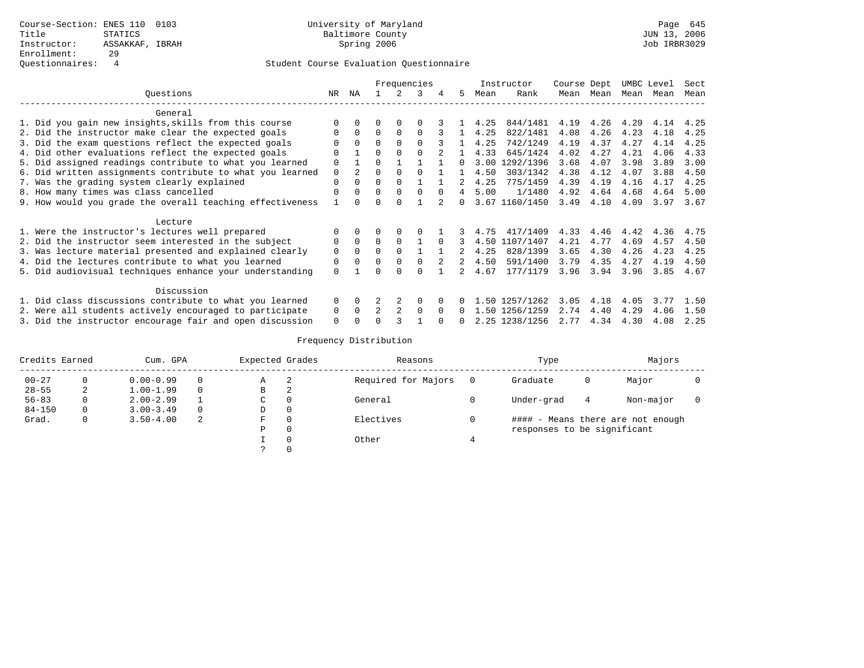### Questionnaires: 4 Student Course Evaluation Questionnaire

|                                                           |             |                |                |          | Frequencies |              |    |      | Instructor     | Course Dept |           | UMBC Level |      | Sect |
|-----------------------------------------------------------|-------------|----------------|----------------|----------|-------------|--------------|----|------|----------------|-------------|-----------|------------|------|------|
| Questions                                                 | NR          | ΝA             |                |          | 3           |              | 5. | Mean | Rank           |             | Mean Mean | Mean       | Mean | Mean |
| General                                                   |             |                |                |          |             |              |    |      |                |             |           |            |      |      |
| 1. Did you gain new insights, skills from this course     | $\Omega$    |                |                |          |             |              |    | 4.25 | 844/1481       | 4.19        | 4.26 4.29 |            | 4.14 | 4.25 |
| 2. Did the instructor make clear the expected goals       | $\Omega$    | $\Omega$       | $\Omega$       | $\Omega$ | $\Omega$    |              |    | 4.25 | 822/1481       | 4.08        | 4.26      | 4.23       | 4.18 | 4.25 |
| 3. Did the exam questions reflect the expected goals      |             | $\Omega$       | $\Omega$       |          | $\cap$      |              |    | 4.25 | 742/1249       | 4.19        | 4.37      | 4.27       | 4.14 | 4.25 |
| 4. Did other evaluations reflect the expected goals       | $\Omega$    |                | $\Omega$       |          |             |              |    | 4.33 | 645/1424       | 4.02        | 4.27      | 4.21       | 4.06 | 4.33 |
| 5. Did assigned readings contribute to what you learned   | $\Omega$    |                | $\Omega$       |          |             |              | n. | 3.00 | 1292/1396      | 3.68        | 4.07      | 3.98       | 3.89 | 3.00 |
| 6. Did written assignments contribute to what you learned | $\mathbf 0$ | $\overline{2}$ | $\Omega$       |          |             |              |    | 4.50 | 303/1342       | 4.38        | 4.12      | 4.07       | 3.88 | 4.50 |
| 7. Was the grading system clearly explained               | $\Omega$    |                | $\Omega$       |          |             |              |    | 4.25 | 775/1459       | 4.39        | 4.19      | 4.16       | 4.17 | 4.25 |
| 8. How many times was class cancelled                     |             |                | $\Omega$       | $\Omega$ | $\cap$      | $\Omega$     |    | 5.00 | 1/1480         | 4.92        | 4.64      | 4.68       | 4.64 | 5.00 |
| 9. How would you grade the overall teaching effectiveness |             |                | $\Omega$       |          |             |              | 0  |      | 3.67 1160/1450 | 3.49        | 4.10      | 4.09       | 3.97 | 3.67 |
| Lecture                                                   |             |                |                |          |             |              |    |      |                |             |           |            |      |      |
| 1. Were the instructor's lectures well prepared           |             |                | O              | $\Omega$ |             |              | 3. | 4.75 | 417/1409       |             | 4.33 4.46 | 4.42       | 4.36 | 4.75 |
| 2. Did the instructor seem interested in the subject      | $\Omega$    | $\Omega$       | $\Omega$       | $\Omega$ |             | $\Omega$     |    |      | 4.50 1107/1407 | 4.21        | 4.77      | 4.69       | 4.57 | 4.50 |
| 3. Was lecture material presented and explained clearly   | 0           | 0              | <sup>0</sup>   | 0        |             |              |    | 4.25 | 828/1399       | 3.65        | 4.30      | 4.26       | 4.23 | 4.25 |
| 4. Did the lectures contribute to what you learned        | 0           |                | $\Omega$       | $\Omega$ | $\Omega$    |              |    | 4.50 | 591/1400       | 3.79        | 4.35      | 4.27       | 4.19 | 4.50 |
| 5. Did audiovisual techniques enhance your understanding  | $\Omega$    |                |                |          | ∩           |              |    | 4.67 | 177/1179       | 3.96        | 3.94      | 3.96       | 3.85 | 4.67 |
| Discussion                                                |             |                |                |          |             |              |    |      |                |             |           |            |      |      |
| 1. Did class discussions contribute to what you learned   | $\Omega$    | $\Omega$       |                |          | $\Omega$    |              |    |      | 1.50 1257/1262 | 3.05        | 4.18      | 4.05       | 3.77 | 1.50 |
| 2. Were all students actively encouraged to participate   | 0           | $\Omega$       | $\mathfrak{D}$ |          | $\Omega$    | <sup>0</sup> |    | - 50 | 1256/1259      | 2.74        | 4.40      | 4.29       | 4.06 | 1.50 |
| 3. Did the instructor encourage fair and open discussion  | $\Omega$    |                | ∩              |          |             |              |    |      | 2.25 1238/1256 | 2.77        | 4.34      | 4.30       | 4.08 | 2.25 |

| Credits Earned |   | Cum. GPA      |          | Expected Grades |   | Reasons             | Type                        |   | Majors                            |  |
|----------------|---|---------------|----------|-----------------|---|---------------------|-----------------------------|---|-----------------------------------|--|
| $00 - 27$      |   | $0.00 - 0.99$ | $\Omega$ | Α               | 2 | Required for Majors | Graduate                    | 0 | Major                             |  |
| $28 - 55$      | 2 | $1.00 - 1.99$ | $\Omega$ | В               | 2 |                     |                             |   |                                   |  |
| $56 - 83$      |   | $2.00 - 2.99$ |          | C               |   | General             | Under-grad                  | 4 | Non-major                         |  |
| $84 - 150$     | 0 | $3.00 - 3.49$ | $\Omega$ | D               |   |                     |                             |   |                                   |  |
| Grad.          |   | $3.50 - 4.00$ | 2        | F               |   | Electives           |                             |   | #### - Means there are not enough |  |
|                |   |               |          | P               |   |                     | responses to be significant |   |                                   |  |
|                |   |               |          |                 |   | Other               |                             |   |                                   |  |
|                |   |               |          |                 |   |                     |                             |   |                                   |  |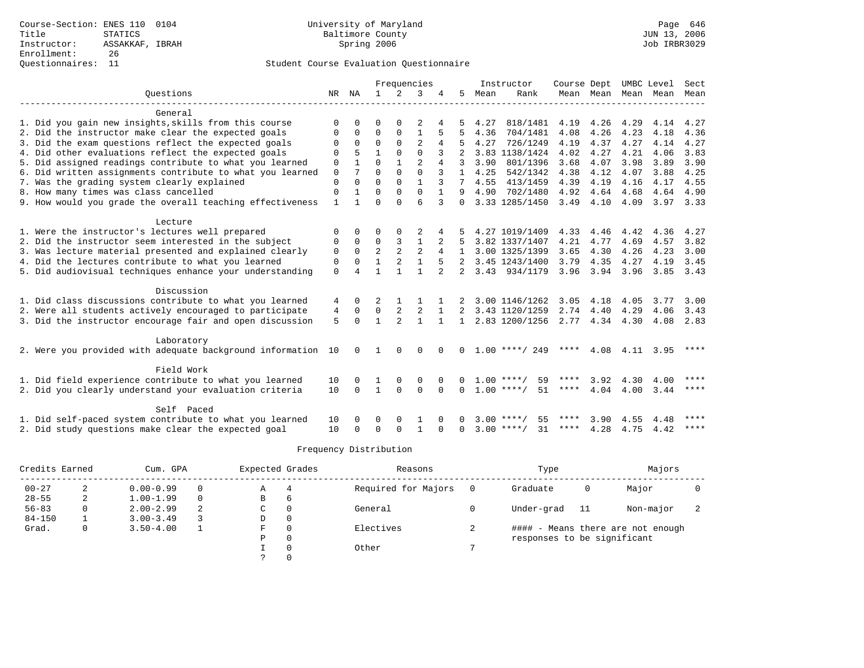# Questionnaires: 11 Student Course Evaluation Questionnaire

|                                                           |              |              |                |                | Frequencies    |              |                |           | Instructor         | Course Dept |                |      | UMBC Level    | Sect        |
|-----------------------------------------------------------|--------------|--------------|----------------|----------------|----------------|--------------|----------------|-----------|--------------------|-------------|----------------|------|---------------|-------------|
| Ouestions                                                 | NR           | NA           | $\mathbf{1}$   | 2              | 3              |              | 5              | Mean      | Rank               |             | Mean Mean Mean |      | Mean          | Mean        |
|                                                           |              |              |                |                |                |              |                |           |                    |             |                |      |               |             |
| General                                                   |              |              |                |                |                |              |                |           |                    |             |                |      |               |             |
| 1. Did you gain new insights, skills from this course     | $\Omega$     | $\cap$       | $\Omega$       | ∩              |                |              |                | 4.27      | 818/1481           | 4.19        | 4.26           | 4.29 | 4.14          | 4.27        |
| 2. Did the instructor make clear the expected goals       | 0            | 0            | $\Omega$       | $\Omega$       | 1              |              |                | 4.36      | 704/1481           | 4.08        | 4.26           | 4.23 | 4.18          | 4.36        |
| 3. Did the exam questions reflect the expected goals      | $\Omega$     | $\Omega$     | $\Omega$       | $\Omega$       | $\mathfrak{D}$ | 4            |                | 4.27      | 726/1249           | 4.19        | 4.37           | 4.27 | 4.14          | 4.27        |
| 4. Did other evaluations reflect the expected goals       | $\Omega$     | 5            | $\mathbf{1}$   | $\Omega$       | $\Omega$       | 3            |                |           | 3.83 1138/1424     | 4.02        | 4.27           | 4.21 | 4.06          | 3.83        |
| 5. Did assigned readings contribute to what you learned   | 0            |              | $\Omega$       | 1              | $\overline{2}$ |              |                | 3.90      | 801/1396           | 3.68        | 4.07           | 3.98 | 3.89          | 3.90        |
| 6. Did written assignments contribute to what you learned | $\mathbf 0$  | 7            | $\Omega$       | $\Omega$       | $\Omega$       |              |                | 4.25      | 542/1342           | 4.38        | 4.12           | 4.07 | 3.88          | 4.25        |
| 7. Was the grading system clearly explained               | $\mathbf 0$  | $\Omega$     | $\Omega$       | $\Omega$       |                |              |                | 4.55      | 413/1459           | 4.39        | 4.19           | 4.16 | 4.17          | 4.55        |
| 8. How many times was class cancelled                     | $\mathbf 0$  |              | $\Omega$       | $\Omega$       | $\Omega$       |              | 9              | 4.90      | 702/1480           | 4.92        | 4.64           | 4.68 | 4.64          | 4.90        |
| 9. How would you grade the overall teaching effectiveness | $\mathbf{1}$ |              | $\Omega$       | $\cap$         | 6              | 3            | $\Omega$       |           | 3.33 1285/1450     | 3.49        | 4.10           | 4.09 | $3.97$ $3.33$ |             |
| Lecture                                                   |              |              |                |                |                |              |                |           |                    |             |                |      |               |             |
| 1. Were the instructor's lectures well prepared           | $\Omega$     | 0            | O              | $\Omega$       |                |              |                |           | 4.27 1019/1409     | 4.33        | 4.46           | 4.42 | 4.36          | 4.27        |
| 2. Did the instructor seem interested in the subject      | 0            | $\Omega$     | $\Omega$       | 3              | $\mathbf{1}$   |              |                |           | 3.82 1337/1407     | 4.21        | 4.77           | 4.69 | 4.57          | 3.82        |
| 3. Was lecture material presented and explained clearly   | 0            | 0            | $\overline{2}$ | $\overline{2}$ | $\overline{2}$ | 4            |                |           | 3.00 1325/1399     | 3.65        | 4.30           | 4.26 | 4.23          | 3.00        |
| 4. Did the lectures contribute to what you learned        | 0            | $\Omega$     | 1              | 2              | $\mathbf{1}$   |              |                |           | 3.45 1243/1400     | 3.79        | 4.35           | 4.27 | 4.19          | 3.45        |
| 5. Did audiovisual techniques enhance your understanding  |              | 4            |                |                | 1              | 2            | $\mathfrak{D}$ |           | 3.43 934/1179      | 3.96        | 3.94           | 3.96 | 3.85 3.43     |             |
|                                                           | $\mathbf 0$  |              |                |                |                |              |                |           |                    |             |                |      |               |             |
| Discussion                                                |              |              |                |                |                |              |                |           |                    |             |                |      |               |             |
| 1. Did class discussions contribute to what you learned   | 4            | 0            |                |                |                |              |                |           | 3.00 1146/1262     | 3.05        | 4.18           | 4.05 | 3.77          | 3.00        |
| 2. Were all students actively encouraged to participate   | 4            | $\Omega$     | $\Omega$       | 2              | 2              | $\mathbf{1}$ | $\overline{2}$ |           | 3.43 1120/1259     | 2.74        | 4.40           | 4.29 | 4.06          | 3.43        |
| 3. Did the instructor encourage fair and open discussion  | 5            | $\Omega$     | $\mathbf{1}$   | $\mathfrak{D}$ | $\mathbf{1}$   |              | $\mathbf{1}$   |           | 2.83 1200/1256     |             | 2.77 4.34      | 4.30 |               | 4.08 2.83   |
|                                                           |              |              |                |                |                |              |                |           |                    |             |                |      |               |             |
| Laboratory                                                |              |              |                |                |                |              |                |           |                    |             |                |      |               |             |
| 2. Were you provided with adequate background information | 10           | 0            |                | 0              | 0              |              | 0              |           | $1.00$ ****/ 249   | ****        | 4.08           | 4.11 | 3.95          | ****        |
| Field Work                                                |              |              |                |                |                |              |                |           |                    |             |                |      |               |             |
| 1. Did field experience contribute to what you learned    | 10           | <sup>0</sup> |                | $\Omega$       | $\Omega$       |              |                | $1.00***$ | 59                 |             | 3.92           | 4.30 | 4.00          | ****        |
| 2. Did you clearly understand your evaluation criteria    | 10           | <sup>0</sup> | $\mathbf{1}$   | $\Omega$       | $\Omega$       | $\Omega$     | <sup>0</sup>   |           | $1.00$ ****/<br>51 | ****        | 4.04           | 4.00 | 3.44          | ****        |
|                                                           |              |              |                |                |                |              |                |           |                    |             |                |      |               |             |
| Self Paced                                                |              |              |                |                |                |              |                |           |                    |             |                |      |               |             |
| 1. Did self-paced system contribute to what you learned   | 10           | <sup>0</sup> | O              | $\Omega$       |                |              |                | 3.00      | $***$ $+$<br>55    | ****        | 3.90           | 4.55 | 4.48          | ****        |
| 2. Did study questions make clear the expected goal       | 10           | 0            | $\Omega$       | $\Omega$       | $\mathbf{1}$   | O            | 0              |           | $3.00$ ****/<br>31 | ****        | 4.28           | 4.75 | 4.42          | $***$ * * * |

| Credits Earned |   | Cum. GPA      |          | Expected Grades |                | Reasons             |   | Type                        |    | Majors                            |  |
|----------------|---|---------------|----------|-----------------|----------------|---------------------|---|-----------------------------|----|-----------------------------------|--|
| $00 - 27$      |   | $0.00 - 0.99$ |          | Α               |                | Required for Majors |   | Graduate                    | 0  | Major                             |  |
| $28 - 55$      | ∠ | $1.00 - 1.99$ | $\Omega$ | В               | $\overline{6}$ |                     |   |                             |    |                                   |  |
| $56 - 83$      | 0 | $2.00 - 2.99$ | 2        | C.              | 0              | General             |   | Under-grad                  | 11 | Non-major                         |  |
| $84 - 150$     |   | $3.00 - 3.49$ |          | D               | 0              |                     |   |                             |    |                                   |  |
| Grad.          | 0 | $3.50 - 4.00$ |          | F               | $\Omega$       | Electives           | ∠ |                             |    | #### - Means there are not enough |  |
|                |   |               |          | Ρ               | 0              |                     |   | responses to be significant |    |                                   |  |
|                |   |               |          |                 | $\Omega$       | Other               |   |                             |    |                                   |  |
|                |   |               |          |                 |                |                     |   |                             |    |                                   |  |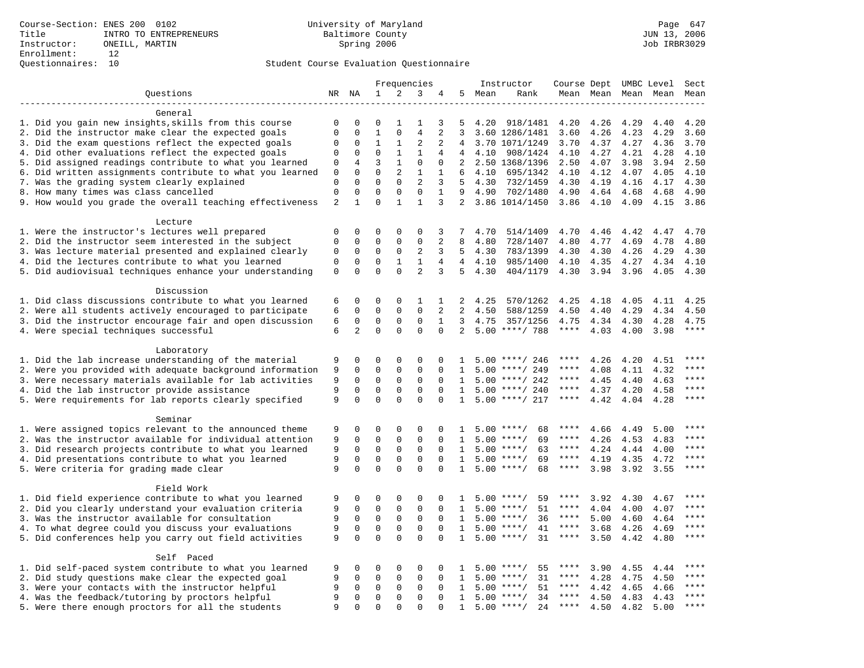# Questionnaires: 10 Student Course Evaluation Questionnaire

|                                                                    |                               |                             |                             |                             | Frequencies              |                   |                   |      | Instructor                   | Course Dept UMBC Level |              |              |                     | Sect        |
|--------------------------------------------------------------------|-------------------------------|-----------------------------|-----------------------------|-----------------------------|--------------------------|-------------------|-------------------|------|------------------------------|------------------------|--------------|--------------|---------------------|-------------|
| Ouestions                                                          |                               | NR NA                       | 1                           | 2                           | 3                        | 4                 | 5                 | Mean | Rank                         |                        |              |              | Mean Mean Mean Mean | Mean        |
|                                                                    |                               |                             |                             |                             |                          |                   |                   |      |                              |                        |              |              |                     |             |
| General                                                            |                               |                             |                             |                             |                          |                   |                   |      |                              |                        |              |              |                     |             |
| 1. Did you gain new insights, skills from this course              | 0                             | 0                           | $\mathbf 0$                 | 1                           | -1                       | 3                 | 5                 | 4.20 | 918/1481                     | 4.20                   | 4.26         | 4.29         | 4.40                | 4.20        |
| 2. Did the instructor make clear the expected goals                | $\mathbf 0$                   | $\mathbf 0$                 | $1\,$                       | $\mathbf 0$                 | $\overline{4}$           | $\overline{a}$    | 3                 |      | 3.60 1286/1481               | 3.60                   | 4.26         | 4.23         | 4.29                | 3.60        |
| 3. Did the exam questions reflect the expected goals               | 0                             | 0                           | 1                           | 1                           | 2                        | 2                 | 4                 |      | 3.70 1071/1249               | 3.70                   | 4.37         | 4.27         | 4.36                | 3.70        |
| 4. Did other evaluations reflect the expected goals                | $\mathbf 0$                   | $\mathbf 0$                 | $\Omega$                    | $\mathbf{1}$                | $\mathbf{1}$             | 4                 | $\overline{4}$    | 4.10 | 908/1424                     | 4.10                   | 4.27         | 4.21         | 4.28                | 4.10        |
| 5. Did assigned readings contribute to what you learned            | $\mathsf 0$                   | 4                           | 3                           | $\mathbf{1}$                | $\mathsf 0$              | $\mathsf 0$       | 2                 |      | 2.50 1368/1396               | 2.50                   | 4.07         | 3.98         | 3.94                | 2.50        |
| 6. Did written assignments contribute to what you learned          | 0                             | $\mathbf 0$                 | $\mathbf 0$                 | 2                           | 1                        | 1                 |                   | 4.10 | 695/1342                     | 4.10                   | 4.12         | 4.07         | 4.05                | 4.10        |
| 7. Was the grading system clearly explained                        | $\mathbf 0$                   | $\Omega$                    | $\Omega$                    | $\Omega$                    | 2                        | 3                 | .5                | 4.30 | 732/1459                     | 4.30                   | 4.19         | 4.16         | 4.17                | 4.30        |
| 8. How many times was class cancelled                              | $\mathbf 0$<br>$\overline{2}$ | $\mathbf 0$<br>$\mathbf{1}$ | $\mathbf 0$<br>$\mathbf{0}$ | $\mathbf 0$<br>$\mathbf{1}$ | $\Omega$<br>$\mathbf{1}$ | $\mathbf{1}$<br>3 | 9                 | 4.90 | 702/1480<br>2 3.86 1014/1450 | 4.90<br>3.86           | 4.64<br>4.10 | 4.68<br>4.09 | 4.68<br>4.15        | 4.90        |
| 9. How would you grade the overall teaching effectiveness          |                               |                             |                             |                             |                          |                   |                   |      |                              |                        |              |              |                     | 3.86        |
| Lecture                                                            |                               |                             |                             |                             |                          |                   |                   |      |                              |                        |              |              |                     |             |
| 1. Were the instructor's lectures well prepared                    | $\mathbf 0$                   | 0                           | $\mathbf 0$                 | $\mathbf 0$                 | 0                        | 3                 | 7                 | 4.70 | 514/1409                     | 4.70                   | 4.46         | 4.42         | 4.47                | 4.70        |
| 2. Did the instructor seem interested in the subject               | $\mathbf 0$                   | 0                           | $\mathbf 0$                 | $\mathsf 0$                 | $\mathsf 0$              | 2                 | 8                 | 4.80 | 728/1407                     | 4.80                   | 4.77         | 4.69         | 4.78                | 4.80        |
| 3. Was lecture material presented and explained clearly            | $\mathsf 0$                   | $\mathbf 0$                 | $\mathbf 0$                 | $\mathsf{O}$                | $\overline{2}$           | 3                 | 5                 | 4.30 | 783/1399                     | 4.30                   | 4.30         | 4.26         | 4.29                | 4.30        |
| 4. Did the lectures contribute to what you learned                 | $\mathbf 0$                   | 0                           | $\mathbf{0}$                | 1                           | 1                        | 4                 | $\overline{4}$    | 4.10 | 985/1400                     | 4.10                   | 4.35         | 4.27         | 4.34                | 4.10        |
| 5. Did audiovisual techniques enhance your understanding           | $\mathbf 0$                   | $\Omega$                    | $\Omega$                    | $\Omega$                    | $\overline{a}$           | 3                 | 5                 | 4.30 | 404/1179                     | 4.30                   | 3.94         | 3.96         | 4.05                | 4.30        |
|                                                                    |                               |                             |                             |                             |                          |                   |                   |      |                              |                        |              |              |                     |             |
| Discussion                                                         |                               |                             |                             |                             |                          |                   |                   |      |                              |                        |              |              |                     |             |
| 1. Did class discussions contribute to what you learned            | 6                             | 0                           | $\mathbf 0$                 | $\mathbf 0$                 | 1                        | 1                 | 2                 | 4.25 | 570/1262                     | 4.25                   | 4.18         | 4.05         | 4.11                | 4.25        |
| 2. Were all students actively encouraged to participate            | 6                             | $\mathbf 0$                 | $\mathbf 0$                 | $\mathbf 0$                 | $\Omega$                 | 2                 | 2                 | 4.50 | 588/1259                     | 4.50                   | 4.40         | 4.29         | 4.34                | 4.50        |
| 3. Did the instructor encourage fair and open discussion           | 6                             | 0                           | $\mathbf 0$                 | $\Omega$                    | $\Omega$                 | $\mathbf{1}$      | 3                 | 4.75 | 357/1256                     | 4.75                   | 4.34         | 4.30         | 4.28                | 4.75        |
| 4. Were special techniques successful                              | 6                             | 2                           | $\Omega$                    | $\Omega$                    | $\Omega$                 | $\Omega$          | 2                 |      | $5.00$ ****/ 788             | $***$ * * *            | 4.03         | 4.00         | 3.98                | $***$       |
|                                                                    |                               |                             |                             |                             |                          |                   |                   |      |                              |                        |              |              |                     |             |
| Laboratory                                                         |                               |                             |                             |                             |                          |                   |                   |      |                              |                        |              |              |                     |             |
| 1. Did the lab increase understanding of the material              | 9                             | 0                           | $\Omega$                    | $\Omega$                    | $\Omega$                 | $\Omega$          | 1                 |      | $5.00$ ****/ 246             | ****                   | 4.26         | 4.20         | 4.51                | $***$       |
| 2. Were you provided with adequate background information          | 9                             | $\mathbf 0$                 | $\mathbf{0}$                | $\mathbf 0$                 | $\mathbf{0}$             | $\Omega$          | 1                 | 5.00 | ****/ 249                    | ****                   | 4.08         | 4.11         | 4.32                | $***$       |
| 3. Were necessary materials available for lab activities           | 9                             | 0                           | $\mathbf 0$                 | $\mathsf{O}$                | $\mathbf{0}$             | $\mathbf 0$       | 1                 | 5.00 | ****/ 242                    | ****                   | 4.45         | 4.40         | 4.63                | $***$ * * * |
| 4. Did the lab instructor provide assistance                       | 9                             | $\mathbf 0$                 | $\mathbf{0}$                | $\mathbf 0$                 | $\mathbf{0}$             | $\Omega$          | $\mathbf{1}$      |      | $5.00$ ****/ 240             | ****                   | 4.37         | 4.20         | 4.58                | ****        |
| 5. Were requirements for lab reports clearly specified             | 9                             | $\mathbf 0$                 | $\mathbf{0}$                | $\mathbf 0$                 | $\mathbf 0$              | $\mathbf 0$       | 1                 |      | $5.00$ ****/ 217             | ****                   | 4.42         | 4.04         | 4.28                | ****        |
|                                                                    |                               |                             |                             |                             |                          |                   |                   |      |                              |                        |              |              |                     |             |
| Seminar<br>1. Were assigned topics relevant to the announced theme | 9                             | 0                           | $\mathbf 0$                 | $\mathbf 0$                 | 0                        | $\Omega$          |                   |      | $5.00$ ****/                 |                        |              |              | 5.00                |             |
| 2. Was the instructor available for individual attention           | 9                             | $\mathbf 0$                 | $\mathsf 0$                 | $\mathsf{O}$                | $\mathsf 0$              | $\Omega$          | 1<br>$\mathbf{1}$ |      | 68<br>69<br>$5.00$ ****/     | ****                   | 4.66<br>4.26 | 4.49<br>4.53 | 4.83                | ****        |
| 3. Did research projects contribute to what you learned            | 9                             | $\mathbf 0$                 | $\mathbf{0}$                | $\mathbf 0$                 | $\mathbf{0}$             | $\Omega$          | 1                 |      | $5.00$ ****/<br>63           | $***$ * *              | 4.24         | 4.44         | 4.00                | ****        |
| 4. Did presentations contribute to what you learned                | 9                             | $\mathbf 0$                 | $\mathbf 0$                 | $\mathbf 0$                 | $\mathbf{0}$             | $\mathbf 0$       | 1                 | 5.00 | 69<br>$***$ /                | ****                   | 4.19         | 4.35         | 4.72                | ****        |
| 5. Were criteria for grading made clear                            | 9                             | $\Omega$                    | $\Omega$                    | $\Omega$                    | $\Omega$                 | $\Omega$          | $\mathbf{1}$      | 5.00 | 68<br>$***$ /                | ****                   | 3.98         | 3.92         | 3.55                | * * * *     |
|                                                                    |                               |                             |                             |                             |                          |                   |                   |      |                              |                        |              |              |                     |             |
| Field Work                                                         |                               |                             |                             |                             |                          |                   |                   |      |                              |                        |              |              |                     |             |
| 1. Did field experience contribute to what you learned             | 9                             | 0                           | 0                           | $\mathbf 0$                 | $\mathbf{0}$             | $\mathbf 0$       | 1                 |      | $5.00$ ****/<br>59           | ****                   | 3.92         | 4.30         | 4.67                | ****        |
| 2. Did you clearly understand your evaluation criteria             | 9                             | $\mathbf 0$                 | $\mathbf 0$                 | $\mathbf 0$                 | $\mathbf{0}$             | $\Omega$          | 1                 | 5.00 | 51<br>$***/$                 | ****                   | 4.04         | 4.00         | 4.07                | ****        |
| 3. Was the instructor available for consultation                   | 9                             | $\mathbf 0$                 | $\mathsf 0$                 | $\mathsf{O}$                | $\mathsf 0$              | $\Omega$          | $\mathbf{1}$      |      | 36<br>$5.00$ ****/           | $***$ * * *            | 5.00         | 4.60         | 4.64                | $***$       |
| 4. To what degree could you discuss your evaluations               | 9                             | $\mathbf 0$                 | $\mathbf{0}$                | $\mathbf 0$                 | $\mathbf 0$              | $\Omega$          | 1                 |      | $5.00$ ****/<br>41           | $***$ * *              | 3.68         | 4.26         | 4.69                | $***$       |
| 5. Did conferences help you carry out field activities             | 9                             | $\mathbf 0$                 | $\mathbf 0$                 | $\mathbf 0$                 | $\mathbf{0}$             | $\Omega$          | 1                 |      | 31<br>$5.00$ ****/           | ****                   | 3.50         | 4.42         | 4.80                | ****        |
|                                                                    |                               |                             |                             |                             |                          |                   |                   |      |                              |                        |              |              |                     |             |
| Self Paced                                                         |                               |                             |                             |                             |                          |                   |                   |      |                              |                        |              |              |                     |             |
| 1. Did self-paced system contribute to what you learned            | 9                             | 0                           | 0                           | $\mathbf 0$                 | $\mathbf 0$              | $\mathbf 0$       | 1                 | 5.00 | $***$ /<br>55                | ****                   | 3.90         | 4.55         | 4.44                | ****        |
| 2. Did study questions make clear the expected goal                | 9                             | 0                           | $\mathbf 0$                 | $\mathbf 0$                 | $\mathbf 0$              | 0                 | 1                 | 5.00 | $***/$<br>31                 | ****                   | 4.28         | 4.75         | 4.50                | $***$ * * * |
| 3. Were your contacts with the instructor helpful                  | 9                             | 0                           | $\mathbf 0$                 | $\mathbf 0$                 | $\mathbf 0$              | $\Omega$          | 1                 | 5.00 | $***/$<br>51                 | ****                   | 4.42         | 4.65         | 4.66                | ****        |
| 4. Was the feedback/tutoring by proctors helpful                   | 9                             | $\mathbf 0$                 | $\mathbf 0$                 | $\Omega$                    | $\Omega$                 | $\Omega$          | $\mathbf{1}$      | 5.00 | $***/$<br>34                 | $***$ * *              | 4.50         | 4.83         | 4.43                | $***$       |
| 5. Were there enough proctors for all the students                 | 9                             | $\Omega$                    | $\Omega$                    | $\Omega$                    | $\Omega$                 | $\Omega$          | $\mathbf{1}$      |      | $5.00$ ****/<br>24           | $***$ * * *            | 4.50         | 4.82         | 5.00                | ****        |
|                                                                    |                               |                             |                             |                             |                          |                   |                   |      |                              |                        |              |              |                     |             |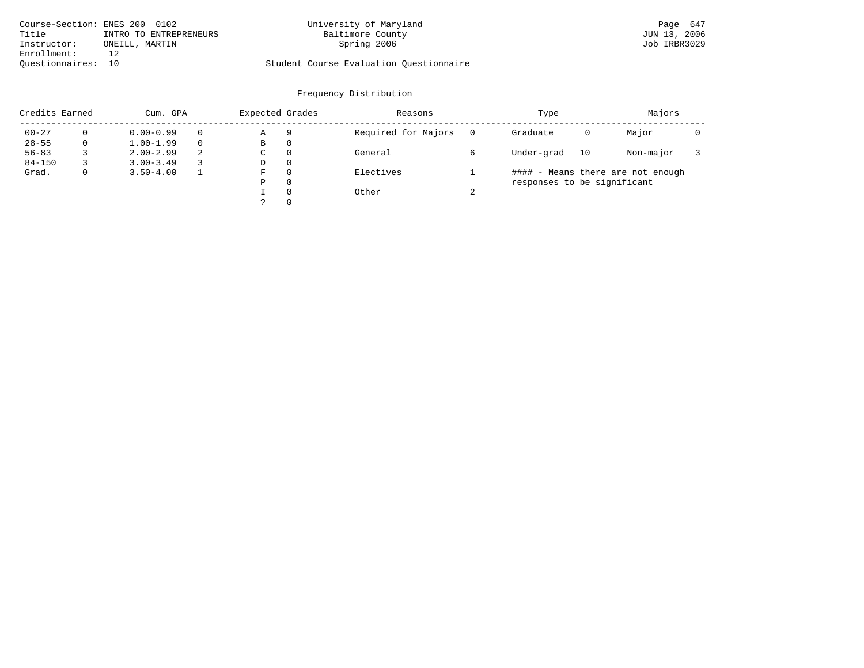|                    | Course-Section: ENES 200 0102 | University of Maryland                  | Page 647     |
|--------------------|-------------------------------|-----------------------------------------|--------------|
| Title              | INTRO TO ENTREPRENEURS        | Baltimore County                        | JUN 13, 2006 |
| Instructor:        | ONEILL, MARTIN                | Spring 2006                             | Job IRBR3029 |
| Enrollment:        |                               |                                         |              |
| Ouestionnaires: 10 |                               | Student Course Evaluation Questionnaire |              |

| Credits Earned |   | Cum. GPA      |          | Expected Grades |              | Reasons             |   | Type                        |    | Majors                            |  |
|----------------|---|---------------|----------|-----------------|--------------|---------------------|---|-----------------------------|----|-----------------------------------|--|
| $00 - 27$      |   | $0.00 - 0.99$ | $\Omega$ | Α               | 9            | Required for Majors |   | Graduate                    | 0  | Major                             |  |
| $28 - 55$      | 0 | $1.00 - 1.99$ | $\Omega$ | B               | 0            |                     |   |                             |    |                                   |  |
| $56 - 83$      |   | $2.00 - 2.99$ | 2        | C               | 0            | General             |   | Under-grad                  | 10 | Non-major                         |  |
| $84 - 150$     |   | $3.00 - 3.49$ |          | D               | 0            |                     |   |                             |    |                                   |  |
| Grad.          | 0 | $3.50 - 4.00$ |          | F               | $\Omega$     | Electives           |   |                             |    | #### - Means there are not enough |  |
|                |   |               |          | Ρ               | $\Omega$     |                     |   | responses to be significant |    |                                   |  |
|                |   |               |          |                 | $\Omega$     | Other               | ◠ |                             |    |                                   |  |
|                |   |               |          |                 | $\mathbf{0}$ |                     |   |                             |    |                                   |  |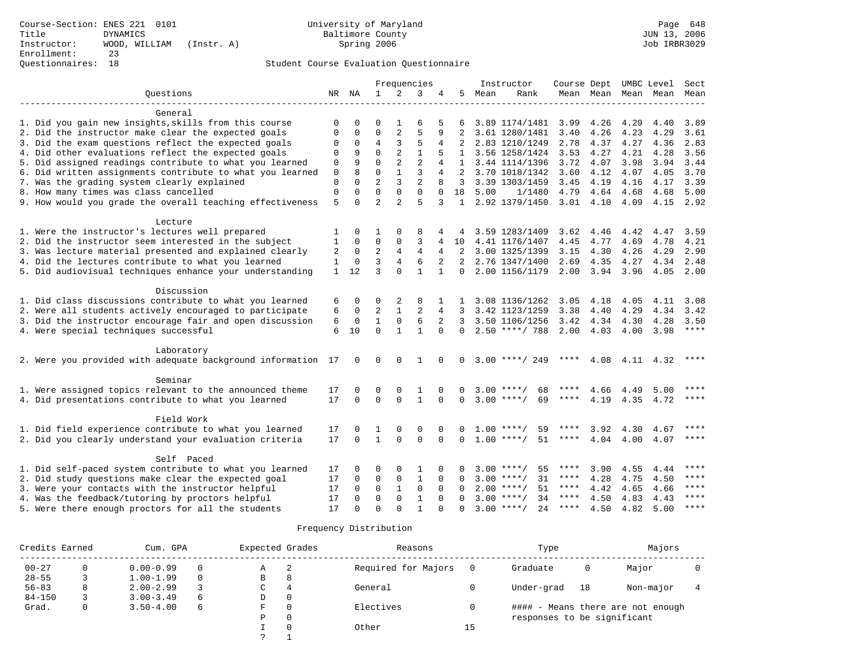|                                                                  |              |              |                |                | Frequencies    |              |              |      | Instructor          |             |      |                | Course Dept UMBC Level   | Sect        |
|------------------------------------------------------------------|--------------|--------------|----------------|----------------|----------------|--------------|--------------|------|---------------------|-------------|------|----------------|--------------------------|-------------|
| Ouestions                                                        |              | NR NA        | $\mathbf{1}$   | 2              | 3              |              | 5            | Mean | Rank                |             |      |                | Mean Mean Mean Mean Mean |             |
|                                                                  |              |              |                |                |                |              |              |      |                     |             |      |                |                          |             |
| General<br>1. Did you gain new insights, skills from this course | $\mathbf 0$  | O            | 0              |                | 6              |              | 6            |      | 3.89 1174/1481 3.99 |             | 4.26 | 4.29           | 4.40                     | 3.89        |
| 2. Did the instructor make clear the expected goals              | 0            | 0            | $\mathbf 0$    | 2              | 5              | 9            | 2            |      | 3.61 1280/1481      | 3.40        | 4.26 | 4.23           | 4.29                     | 3.61        |
| 3. Did the exam questions reflect the expected goals             | $\mathbf 0$  | $\mathbf 0$  | $\overline{4}$ | 3              | 5              | 4            | 2            |      | 2.83 1210/1249      | 2.78        | 4.37 | 4.27           | 4.36                     | 2.83        |
| 4. Did other evaluations reflect the expected goals              | $\mathbf 0$  | 9            | $\Omega$       |                | $\mathbf{1}$   |              | $\mathbf{1}$ |      | 3.56 1258/1424      | 3.53        | 4.27 | 4.21           | 4.28                     | 3.56        |
| 5. Did assigned readings contribute to what you learned          | $\mathbf 0$  | 9            | $\Omega$       | $\overline{2}$ | $\overline{2}$ |              | $\mathbf{1}$ |      | 3.44 1114/1396      | 3.72        | 4.07 | 3.98           | 3.94                     | 3.44        |
| 6. Did written assignments contribute to what you learned        | $\mathbf 0$  | 8            | $\Omega$       | $\mathbf{1}$   | 3              | 4            |              |      | 3.70 1018/1342      | 3.60        | 4.12 | 4.07           | 4.05                     | 3.70        |
| 7. Was the grading system clearly explained                      | $\mathbf 0$  | $\Omega$     | $\overline{a}$ | 3              | $\overline{2}$ | 8            | 3            |      | 3.39 1303/1459      | 3.45        | 4.19 | 4.16           | 4.17                     | 3.39        |
| 8. How many times was class cancelled                            | $\mathbf{0}$ | $\Omega$     | $\Omega$       | $\mathbf 0$    | $\mathbf 0$    | $\Omega$     | 18           | 5.00 | 1/1480              | 4.79        | 4.64 | 4.68           | 4.68                     | 5.00        |
| 9. How would you grade the overall teaching effectiveness        | 5            | $\Omega$     | $\overline{2}$ | $\overline{a}$ | 5              | 3            | 1            |      | 2.92 1379/1450      | $3.01$ 4.10 |      | 4.09           | 4.15 2.92                |             |
|                                                                  |              |              |                |                |                |              |              |      |                     |             |      |                |                          |             |
| Lecture                                                          |              |              |                |                |                |              |              |      |                     |             |      |                |                          |             |
| 1. Were the instructor's lectures well prepared                  | 1            | 0            | 1              | $\Omega$       | 8              |              | 4            |      | 3.59 1283/1409      | 3.62        | 4.46 | 4.42           | 4.47                     | 3.59        |
| 2. Did the instructor seem interested in the subject             | $\mathbf{1}$ | $\mathbf 0$  | $\mathbf 0$    | $\mathbf{0}$   | 3              | 4            | 10           |      | 4.41 1176/1407      | 4.45        | 4.77 | 4.69           | 4.78                     | 4.21        |
| 3. Was lecture material presented and explained clearly          | 2            | $\mathbf 0$  | $\overline{2}$ | 4              | 4              | 4            | 2            |      | 3.00 1325/1399      | 3.15        | 4.30 | 4.26           | 4.29                     | 2.90        |
| 4. Did the lectures contribute to what you learned               | $\mathbf{1}$ | $\mathbf 0$  | 3              | $\overline{4}$ | 6              | 2            | 2            |      | 2.76 1347/1400      | 2.69        | 4.35 | 4.27           | 4.34                     | 2.48        |
| 5. Did audiovisual techniques enhance your understanding         |              | $1 \quad 12$ | 3              | $\Omega$       | $\mathbf{1}$   | $\mathbf{1}$ | $\Omega$     |      | 2.00 1156/1179      | 2.00        | 3.94 | 3.96           | 4.05                     | 2.00        |
| Discussion                                                       |              |              |                |                |                |              |              |      |                     |             |      |                |                          |             |
| 1. Did class discussions contribute to what you learned          | 6            | 0            | 0              | 2              | 8              | 1            | 1            |      | 3.08 1136/1262      | 3.05        | 4.18 | 4.05           | 4.11                     | 3.08        |
| 2. Were all students actively encouraged to participate          | 6            | $\mathbf 0$  | 2              | $\mathbf{1}$   | 2              | 4            | 3            |      | 3.42 1123/1259      | 3.38        | 4.40 | 4.29           | 4.34                     | 3.42        |
| 3. Did the instructor encourage fair and open discussion         | 6            | $\mathbf 0$  | $\mathbf{1}$   | $\mathsf 0$    | 6              | 2            | 3            |      | 3.50 1106/1256      | 3.42        | 4.34 | 4.30           | 4.28                     | 3.50        |
| 4. Were special techniques successful                            | 6            | 10           | $\Omega$       | $\mathbf{1}$   | $\mathbf{1}$   | $\Omega$     | $\Omega$     |      | $2.50$ ****/ 788    | 2.00        | 4.03 | 4.00           | 3.98                     | ****        |
|                                                                  |              |              |                |                |                |              |              |      |                     |             |      |                |                          |             |
| Laboratory                                                       |              |              |                |                |                |              |              |      |                     |             |      |                |                          |             |
| 2. Were you provided with adequate background information 17     |              | $\mathbf 0$  | $\mathbf 0$    | $\mathbf 0$    | 1              | $\Omega$     | 0            |      | $3.00$ ****/ 249    | $***$ * *   | 4.08 | 4.11           | 4.32                     | ****        |
| Seminar                                                          |              |              |                |                |                |              |              |      |                     |             |      |                |                          |             |
| 1. Were assigned topics relevant to the announced theme          | 17           | 0            | 0              | $\mathbf 0$    | 1              | $\Omega$     | 0            |      | $3.00$ ****/<br>68  | ****        | 4.66 | 4.49           | 5.00                     | ****        |
| 4. Did presentations contribute to what you learned              | 17           | $\Omega$     | $\Omega$       | $\Omega$       | $\mathbf{1}$   | $\Omega$     | $\Omega$     |      | $3.00$ ****/<br>69  | ****        | 4.19 |                | 4.35 4.72                | $***$ * * * |
|                                                                  |              |              |                |                |                |              |              |      |                     |             |      |                |                          |             |
| Field Work                                                       |              |              |                |                |                |              |              |      |                     |             |      |                |                          |             |
| 1. Did field experience contribute to what you learned           | 17           | 0            | 1              | $\mathbf 0$    | 0              | $\mathbf 0$  | 0            |      | $1.00$ ****/<br>59  | ****        | 3.92 | 4.30           | 4.67                     | $***$       |
| 2. Did you clearly understand your evaluation criteria           | 17           | $\Omega$     | $\mathbf{1}$   | $\Omega$       | $\mathbf 0$    | $\Omega$     | $\Omega$     |      | 51<br>$1.00$ ****/  | ****        |      | 4.04 4.00 4.07 |                          | $***$       |
| Self Paced                                                       |              |              |                |                |                |              |              |      |                     |             |      |                |                          |             |
| 1. Did self-paced system contribute to what you learned          | 17           | $\Omega$     | 0              | $\mathbf 0$    | 1              | $\Omega$     | 0            |      | $3.00$ ****/<br>55  | ****        | 3.90 | 4.55           | 4.44                     | ****        |
| 2. Did study questions make clear the expected goal              | 17           | 0            | 0              | 0              | 1              | $\mathbf 0$  | $\Omega$     |      | $3.00$ ****/<br>31  | ****        | 4.28 | 4.75           | 4.50                     | ****        |
| 3. Were your contacts with the instructor helpful                | 17           | 0            | 0              | $\mathbf{1}$   | $\mathbf 0$    | $\mathbf 0$  | $\Omega$     |      | $2.00$ ****/<br>51  | ****        | 4.42 | 4.65           | 4.66                     | ****        |
| 4. Was the feedback/tutoring by proctors helpful                 | 17           | $\Omega$     | $\Omega$       | $\mathbf 0$    | $\mathbf{1}$   | $\Omega$     | $\Omega$     |      | $3.00$ ****/<br>34  | ****        | 4.50 | 4.83           | 4.43                     | $***$       |
| 5. Were there enough proctors for all the students               | 17           | $\Omega$     | $\Omega$       | $\cap$         | $\mathbf{1}$   | $\cap$       | $\Omega$     |      | $3.00$ ****/<br>24  | ****        | 4.50 | 4.82           | 5.00                     | $* * * * *$ |
|                                                                  |              |              |                |                |                |              |              |      |                     |             |      |                |                          |             |

| Credits Earned |              | Cum. GPA      |   | Expected Grades |          | Reasons             |    | Type                        | Majors |                                   |  |
|----------------|--------------|---------------|---|-----------------|----------|---------------------|----|-----------------------------|--------|-----------------------------------|--|
| $00 - 27$      |              | $0.00 - 0.99$ |   | Α               | -2       | Required for Majors |    | Graduate                    | 0      | Major                             |  |
| $28 - 55$      |              | $1.00 - 1.99$ | 0 | B               | 8        |                     |    |                             |        |                                   |  |
| $56 - 83$      | 8            | $2.00 - 2.99$ |   |                 | 4        | General             |    | Under-grad                  | 18     | Non-major                         |  |
| $84 - 150$     |              | $3.00 - 3.49$ | 6 | D               | 0        |                     |    |                             |        |                                   |  |
| Grad.          | $\mathbf{0}$ | $3.50 - 4.00$ | 6 | F               | $\Omega$ | Electives           |    |                             |        | #### - Means there are not enough |  |
|                |              |               |   | P               | 0        |                     |    | responses to be significant |        |                                   |  |
|                |              |               |   |                 | $\Omega$ | Other               | 15 |                             |        |                                   |  |
|                |              |               |   | $\sim$          |          |                     |    |                             |        |                                   |  |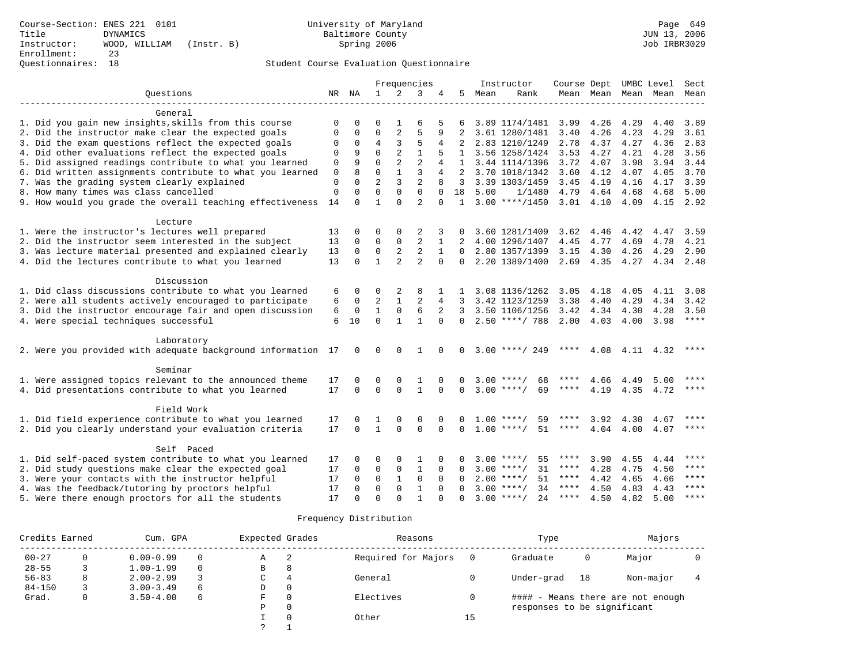|                                                              |             |              |                |                | Frequencies    |              |               |      | Instructor         |             |           | Course Dept UMBC Level |      | Sect        |  |
|--------------------------------------------------------------|-------------|--------------|----------------|----------------|----------------|--------------|---------------|------|--------------------|-------------|-----------|------------------------|------|-------------|--|
| Ouestions                                                    |             | NR NA        | $\mathbf{1}$   | $\overline{2}$ | 3              | 4            | 5.            | Mean | Rank               |             | Mean Mean | Mean                   | Mean | Mean        |  |
|                                                              |             |              |                |                |                |              |               |      |                    |             |           |                        |      |             |  |
| General                                                      |             |              |                |                |                |              |               |      |                    |             |           |                        |      |             |  |
| 1. Did you gain new insights, skills from this course        | $\Omega$    | 0            | O              |                | 6              |              | 6             |      | 3.89 1174/1481     | 3.99        | 4.26      | 4.29                   | 4.40 | 3.89        |  |
| 2. Did the instructor make clear the expected goals          | $\Omega$    | $\Omega$     | $\Omega$       | 2              | 5              | 9            |               |      | 3.61 1280/1481     | 3.40        | 4.26      | 4.23                   | 4.29 | 3.61        |  |
| 3. Did the exam questions reflect the expected goals         | 0           | 0            | 4              | 3              | 5              | 4            | 2             |      | 2.83 1210/1249     | 2.78        | 4.37      | 4.27                   | 4.36 | 2.83        |  |
| 4. Did other evaluations reflect the expected goals          | $\Omega$    | 9            | $\Omega$       | $\overline{2}$ | $\mathbf{1}$   |              | 1             |      | 3.56 1258/1424     | 3.53        | 4.27      | 4.21                   | 4.28 | 3.56        |  |
| 5. Did assigned readings contribute to what you learned      | $\mathbf 0$ | 9            | $\Omega$       | $\overline{a}$ | $\overline{2}$ | 4            | 1             |      | 3.44 1114/1396     | 3.72        | 4.07      | 3.98                   | 3.94 | 3.44        |  |
| 6. Did written assignments contribute to what you learned    | $\mathbf 0$ | $\mathsf{R}$ | $\Omega$       | $\mathbf{1}$   | 3              | 4            | $\mathcal{L}$ |      | 3.70 1018/1342     | 3.60        | 4.12      | 4.07                   | 4.05 | 3.70        |  |
| 7. Was the grading system clearly explained                  | $\mathbf 0$ | $\Omega$     | $\overline{2}$ | 3              | $\overline{a}$ |              | 3             |      | 3.39 1303/1459     | 3.45        | 4.19      | 4.16                   | 4.17 | 3.39        |  |
| 8. How many times was class cancelled                        | $\mathbf 0$ | $\Omega$     | $\Omega$       | $\Omega$       | $\Omega$       | $\Omega$     | 18            | 5.00 | 1/1480             | 4.79        | 4.64      | 4.68                   | 4.68 | 5.00        |  |
| 9. How would you grade the overall teaching effectiveness    | 14          | $\Omega$     | 1              | $\Omega$       | $\overline{a}$ | $\Omega$     | $\mathbf{1}$  |      | $3.00$ ****/1450   | $3.01$ 4.10 |           | 4.09                   |      | 4.15 2.92   |  |
|                                                              |             |              |                |                |                |              |               |      |                    |             |           |                        |      |             |  |
| Lecture                                                      |             |              |                |                |                |              |               |      |                    |             |           |                        |      |             |  |
| 1. Were the instructor's lectures well prepared              | 13          | 0            | $\Omega$       | 0              | $\overline{2}$ |              | 0             |      | 3.60 1281/1409     | 3.62        | 4.46      | 4.42                   | 4.47 | 3.59        |  |
| 2. Did the instructor seem interested in the subject         | 13          | 0            | 0              | 0              | $\overline{2}$ | 1            |               |      | 4.00 1296/1407     | 4.45        | 4.77      | 4.69                   | 4.78 | 4.21        |  |
| 3. Was lecture material presented and explained clearly      | 13          | 0            | 0              | 2              | 2              | $\mathbf{1}$ | $\Omega$      |      | 2.80 1357/1399     | 3.15        | 4.30      | 4.26                   | 4.29 | 2.90        |  |
| 4. Did the lectures contribute to what you learned           | 13          | $\Omega$     | $\mathbf{1}$   | $\overline{2}$ | $\overline{a}$ | $\Omega$     | $\Omega$      |      | 2.20 1389/1400     | 2.69        | 4.35      | 4.27                   | 4.34 | 2.48        |  |
|                                                              |             |              |                |                |                |              |               |      |                    |             |           |                        |      |             |  |
| Discussion                                                   |             |              |                |                |                |              |               |      |                    |             |           |                        |      |             |  |
| 1. Did class discussions contribute to what you learned      | 6           | 0            | 0              | 2              | 8              |              |               |      | 3.08 1136/1262     | 3.05        | 4.18      | 4.05                   | 4.11 | 3.08        |  |
| 2. Were all students actively encouraged to participate      | 6           | $\mathbf 0$  | $\overline{a}$ | $\mathbf{1}$   | $\mathfrak{D}$ | 4            | 3             |      | 3.42 1123/1259     | 3.38        | 4.40      | 4.29                   | 4.34 | 3.42        |  |
| 3. Did the instructor encourage fair and open discussion     | 6           | 0            | $\mathbf{1}$   | $\mathbf 0$    | 6              | 2            | 3             |      | 3.50 1106/1256     | 3.42        | 4.34      | 4.30                   | 4.28 | 3.50        |  |
| 4. Were special techniques successful                        | 6           | 10           | $\Omega$       | $\mathbf{1}$   | $\mathbf{1}$   | $\Omega$     | 0             |      | $2.50$ ****/ 788   | 2.00        | 4.03      | 4.00                   | 3.98 | ****        |  |
|                                                              |             |              |                |                |                |              |               |      |                    |             |           |                        |      |             |  |
| Laboratory                                                   |             |              |                |                |                |              |               |      |                    |             |           |                        |      |             |  |
| 2. Were you provided with adequate background information 17 |             | $\Omega$     | $\Omega$       | $\Omega$       | 1              |              | <sup>0</sup>  |      | $3.00$ ****/ 249   | ****        |           | 4.08 4.11 4.32         |      | ****        |  |
|                                                              |             |              |                |                |                |              |               |      |                    |             |           |                        |      |             |  |
| Seminar                                                      |             |              |                |                |                |              |               |      |                    |             |           |                        |      |             |  |
| 1. Were assigned topics relevant to the announced theme      | 17          | 0            | 0              | 0              | 1              | $\Omega$     | 0             |      | $3.00$ ****/<br>68 |             | 4.66      | 4.49                   | 5.00 | ****        |  |
| 4. Did presentations contribute to what you learned          | 17          | $\Omega$     | $\Omega$       | $\Omega$       | $\mathbf{1}$   | $\Omega$     | $\Omega$      |      | $3.00$ ****/<br>69 |             | 4.19      | 4.35                   | 4.72 | ****        |  |
|                                                              |             |              |                |                |                |              |               |      |                    |             |           |                        |      |             |  |
| Field Work                                                   |             |              |                |                |                |              |               |      |                    |             |           |                        |      |             |  |
| 1. Did field experience contribute to what you learned       | 17          |              |                | $\Omega$       | $\Omega$       | $\Omega$     |               |      | $1.00$ ****/<br>59 | ****        | 3.92      | 4.30                   | 4.67 | ****        |  |
| 2. Did you clearly understand your evaluation criteria       | 17          | $\Omega$     | $\mathbf{1}$   | $\Omega$       | $\Omega$       | $\Omega$     | $\Omega$      |      | $1.00$ ****/<br>51 | ****        | 4.04      | 4.00                   | 4.07 | $* * * * *$ |  |
|                                                              |             |              |                |                |                |              |               |      |                    |             |           |                        |      |             |  |
| Self Paced                                                   |             |              |                |                |                |              |               |      |                    |             |           |                        |      |             |  |
| 1. Did self-paced system contribute to what you learned      | 17          | $\Omega$     | $\Omega$       | $\Omega$       | 1              | $\Omega$     | U             |      | 55<br>$3.00$ ****/ | ****        | 3.90      | 4.55                   | 4.44 | ****        |  |
| 2. Did study questions make clear the expected goal          | 17          | 0            | $\mathbf 0$    | $\mathsf 0$    | $\mathbf{1}$   | $\Omega$     | $\Omega$      |      | $3.00$ ****/<br>31 | ****        | 4.28      | 4.75                   | 4.50 | ****        |  |
| 3. Were your contacts with the instructor helpful            | 17          | 0            | $\mathbf 0$    | $\mathbf{1}$   | $\mathbf 0$    | $\Omega$     | $\Omega$      |      | 51<br>$2.00$ ****/ | ****        | 4.42      | 4.65                   | 4.66 | ****        |  |
| 4. Was the feedback/tutoring by proctors helpful             | 17          | $\Omega$     | $\mathbf 0$    | $\Omega$       | $\mathbf{1}$   | $\Omega$     | $\Omega$      |      | $3.00$ ****/<br>34 | ****        | 4.50      | 4.83                   | 4.43 | ****        |  |
| 5. Were there enough proctors for all the students           | 17          | $\cap$       | $\Omega$       | $\cap$         | $\mathbf{1}$   | $\cap$       | <sup>0</sup>  |      | $3.00$ ****/<br>24 | ****        | 4.50      | 4.82                   | 5.00 | $* * * * *$ |  |

| Credits Earned |   | Cum. GPA      |          | Expected Grades |              | Reasons             |    | Type                        | Majors       |                                   |  |
|----------------|---|---------------|----------|-----------------|--------------|---------------------|----|-----------------------------|--------------|-----------------------------------|--|
| $00 - 27$      |   | $0.00 - 0.99$ | $\Omega$ | Α               | - 2          | Required for Majors |    | Graduate                    | $\mathbf{0}$ | Major                             |  |
| $28 - 55$      |   | $1.00 - 1.99$ | $\Omega$ | B               | 8            |                     |    |                             |              |                                   |  |
| $56 - 83$      | 8 | $2.00 - 2.99$ |          | C               | 4            | General             |    | Under-grad                  | 18           | Non-major                         |  |
| $84 - 150$     |   | $3.00 - 3.49$ | 6        | D               | $\mathbf{0}$ |                     |    |                             |              |                                   |  |
| Grad.          | 0 | $3.50 - 4.00$ | 6        | F               | $\Omega$     | Electives           |    |                             |              | #### - Means there are not enough |  |
|                |   |               |          | Ρ               | 0            |                     |    | responses to be significant |              |                                   |  |
|                |   |               |          |                 | $\Omega$     | Other               | 15 |                             |              |                                   |  |
|                |   |               |          |                 |              |                     |    |                             |              |                                   |  |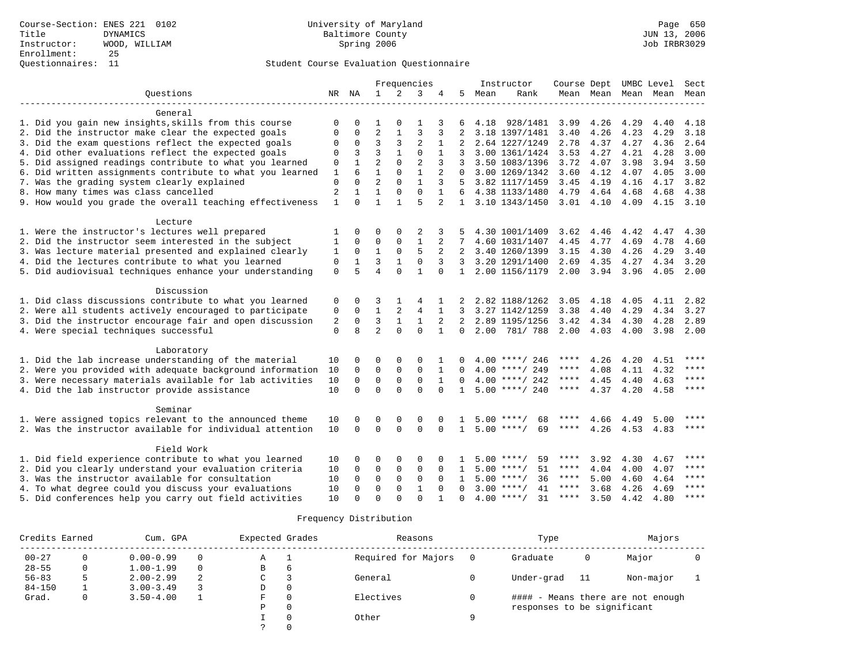|                                                           |                |              |                | Frequencies  |                |                |                |      | Instructor         | Course Dept |             | UMBC Level          |      | Sect        |
|-----------------------------------------------------------|----------------|--------------|----------------|--------------|----------------|----------------|----------------|------|--------------------|-------------|-------------|---------------------|------|-------------|
| Questions                                                 |                | NR NA        | $\mathbf{1}$   | 2            | 3              | 4              | 5              | Mean | Rank               |             |             | Mean Mean Mean Mean |      | Mean        |
|                                                           |                |              |                |              |                |                |                |      |                    |             |             |                     |      |             |
| General                                                   |                |              |                |              |                |                |                |      |                    |             |             |                     |      |             |
| 1. Did you gain new insights, skills from this course     | $\Omega$       | $\Omega$     | 1              | $\Omega$     | 1              | 3              | 6              | 4.18 | 928/1481           | 3.99        | 4.26        | 4.29                | 4.40 | 4.18        |
| 2. Did the instructor make clear the expected goals       | $\Omega$       | $\Omega$     | $\overline{2}$ |              | 3              | 3              | $\overline{2}$ |      | 3.18 1397/1481     | 3.40        | 4.26        | 4.23                | 4.29 | 3.18        |
| 3. Did the exam questions reflect the expected goals      | $\Omega$       | $\Omega$     | 3              | 3            | $\overline{2}$ | 1              |                |      | 2.64 1227/1249     | 2.78        | 4.37        | 4.27                | 4.36 | 2.64        |
| 4. Did other evaluations reflect the expected goals       | 0              | 3            | $\overline{3}$ | $\mathbf{1}$ | $\Omega$       |                |                |      | 3.00 1361/1424     | 3.53        | 4.27        | 4.21                | 4.28 | 3.00        |
| 5. Did assigned readings contribute to what you learned   | 0              | $\mathbf{1}$ | $\overline{a}$ | $\Omega$     | $\overline{2}$ | 3              | 3              |      | 3.50 1083/1396     | 3.72        | 4.07        | 3.98                | 3.94 | 3.50        |
| 6. Did written assignments contribute to what you learned | 1              | 6            | $\mathbf{1}$   | $\Omega$     | $\mathbf{1}$   | $\overline{a}$ | $\Omega$       |      | 3.00 1269/1342     | 3.60        | 4.12        | 4.07                | 4.05 | 3.00        |
| 7. Was the grading system clearly explained               | 0              | $\Omega$     | $\overline{a}$ | $\Omega$     | $\mathbf{1}$   | 3              | .5             |      | 3.82 1117/1459     | 3.45        | 4.19        | 4.16                | 4.17 | 3.82        |
| 8. How many times was class cancelled                     | $\overline{c}$ | $\mathbf{1}$ | $\mathbf{1}$   | $\Omega$     | $\Omega$       | $\mathbf{1}$   | 6              |      | 4.38 1133/1480     | 4.79        | 4.64        | 4.68                | 4.68 | 4.38        |
| 9. How would you grade the overall teaching effectiveness | $\mathbf{1}$   | $\Omega$     | $\mathbf{1}$   |              | 5              | $\overline{2}$ | $\mathbf{1}$   |      | 3.10 1343/1450     |             | $3.01$ 4.10 | 4.09                | 4.15 | 3.10        |
|                                                           |                |              |                |              |                |                |                |      |                    |             |             |                     |      |             |
| Lecture                                                   |                |              |                |              |                |                |                |      |                    |             |             |                     |      |             |
| 1. Were the instructor's lectures well prepared           | $\mathbf{1}$   | $\Omega$     | $\Omega$       | $\Omega$     | 2              | 3              |                |      | 4.30 1001/1409     | 3.62        | 4.46        | 4.42                | 4.47 | 4.30        |
| 2. Did the instructor seem interested in the subject      | 1              | $\Omega$     | $\mathbf 0$    | $\mathbf{0}$ | $\mathbf{1}$   | 2              | 7              |      | 4.60 1031/1407     | 4.45        | 4.77        | 4.69                | 4.78 | 4.60        |
| 3. Was lecture material presented and explained clearly   | $\mathbf{1}$   | $\Omega$     | $\mathbf{1}$   | $\Omega$     | 5              | 2              | 2              |      | 3.40 1260/1399     | 3.15        | 4.30        | 4.26                | 4.29 | 3.40        |
| 4. Did the lectures contribute to what you learned        | $\mathsf 0$    | $\mathbf{1}$ | $\overline{3}$ | $\mathbf{1}$ | $\mathbf 0$    | 3              | 3              |      | 3.20 1291/1400     | 2.69        | 4.35        | 4.27                | 4.34 | 3.20        |
| 5. Did audiovisual techniques enhance your understanding  | $\Omega$       | 5            | $\overline{4}$ | $\Omega$     | $\mathbf{1}$   | $\Omega$       | $\mathbf{1}$   |      | 2.00 1156/1179     | 2.00        | 3.94        | 3.96                | 4.05 | 2.00        |
| Discussion                                                |                |              |                |              |                |                |                |      |                    |             |             |                     |      |             |
| 1. Did class discussions contribute to what you learned   | 0              | $\Omega$     | 3              |              | 4              |                |                |      | 2.82 1188/1262     | 3.05        | 4.18        | 4.05                | 4.11 | 2.82        |
| 2. Were all students actively encouraged to participate   | 0              | $\mathbf 0$  | $\mathbf{1}$   | 2            | 4              | 1              | 3              |      | 3.27 1142/1259     | 3.38        | 4.40        | 4.29                | 4.34 | 3.27        |
| 3. Did the instructor encourage fair and open discussion  | 2              | $\Omega$     | 3              | $\mathbf{1}$ | $\mathbf{1}$   | 2              | 2              |      | 2.89 1195/1256     | 3.42        | 4.34        | 4.30                | 4.28 | 2.89        |
| 4. Were special techniques successful                     | $\mathbf 0$    | 8            | $\overline{a}$ | $\Omega$     | $\mathbf 0$    |                | 0              | 2.00 | 781/ 788           | 2.00        | 4.03        | 4.00                | 3.98 | 2.00        |
|                                                           |                |              |                |              |                |                |                |      |                    |             |             |                     |      |             |
| Laboratory                                                |                |              |                |              |                |                |                |      |                    |             |             |                     |      |             |
| 1. Did the lab increase understanding of the material     | 10             | $\Omega$     | $\Omega$       | $\Omega$     | $\Omega$       |                |                |      | $4.00$ ****/ 246   | ****        | 4.26        | 4.20                | 4.51 | ****        |
| 2. Were you provided with adequate background information | 10             | $\mathbf 0$  | $\mathbf 0$    | $\mathbf 0$  | $\mathbf 0$    | 1              | $\Omega$       |      | $4.00$ ****/ 249   | ****        | 4.08        | 4.11                | 4.32 | ****        |
| 3. Were necessary materials available for lab activities  | 10             | $\Omega$     | $\mathbf 0$    | $\Omega$     | $\Omega$       | $\mathbf{1}$   | $\Omega$       |      | $4.00$ ****/ 242   | $***$ * * * | 4.45        | 4.40                | 4.63 | $***$ * * * |
| 4. Did the lab instructor provide assistance              | 10             | $\Omega$     | $\Omega$       | $\Omega$     | $\Omega$       | $\Omega$       | $\mathbf{1}$   |      | $5.00$ ****/ 240   | ****        | 4.37        | 4.20                | 4.58 | $***$       |
|                                                           |                |              |                |              |                |                |                |      |                    |             |             |                     |      |             |
| Seminar                                                   |                |              |                |              |                |                |                |      |                    |             |             |                     |      | ****        |
| 1. Were assigned topics relevant to the announced theme   | 10             | $\Omega$     | 0              | $\mathbf 0$  | 0              | $\Omega$       |                |      | $5.00$ ****/<br>68 | ****        | 4.66        | 4.49                | 5.00 |             |
| 2. Was the instructor available for individual attention  | 10             | $\Omega$     | $\Omega$       | $\Omega$     | $\Omega$       | $\Omega$       | $\mathbf{1}$   |      | $5.00$ ****/<br>69 | ****        | 4.26        | 4.53                | 4.83 | $***$       |
| Field Work                                                |                |              |                |              |                |                |                |      |                    |             |             |                     |      |             |
| 1. Did field experience contribute to what you learned    | 10             | $\Omega$     | 0              | $\mathbf 0$  | $\Omega$       | $\Omega$       |                |      | $5.00$ ****/<br>59 | ****        | 3.92        | 4.30                | 4.67 | ****        |
| 2. Did you clearly understand your evaluation criteria    | 10             | $\Omega$     | $\mathbf 0$    | $\mathbf 0$  | $\mathbf 0$    | $\Omega$       | $\mathbf{1}$   |      | $5.00$ ****/<br>51 | ****        | 4.04        | 4.00                | 4.07 | ****        |
| 3. Was the instructor available for consultation          | 10             | $\Omega$     | $\mathbf 0$    | $\mathbf 0$  | $\mathbf 0$    | $\Omega$       | $\mathbf{1}$   |      | $5.00$ ****/<br>36 | $***$ * * * | 5.00        | 4.60                | 4.64 | ****        |
| 4. To what degree could you discuss your evaluations      | 10             | $\Omega$     | $\mathbf 0$    | $\Omega$     | $\mathbf{1}$   | $\Omega$       | $\Omega$       |      | $3.00$ ****/<br>41 | ****        | 3.68        | 4.26                | 4.69 | ****        |
| 5. Did conferences help you carry out field activities    | 10             | $\Omega$     | $\Omega$       | $\Omega$     | $\Omega$       |                |                |      | $4.00$ ****/<br>31 | ****        | 3.50        | 4.42                | 4.80 | ****        |
|                                                           |                |              |                |              |                |                |                |      |                    |             |             |                     |      |             |

| Credits Earned |   | Cum. GPA      | Expected Grades |   | Reasons     |                     | Type     | Majors                      |    |                                   |  |
|----------------|---|---------------|-----------------|---|-------------|---------------------|----------|-----------------------------|----|-----------------------------------|--|
| $00 - 27$      | 0 | $0.00 - 0.99$ | $\Omega$        | Α | - 1         | Required for Majors |          | Graduate                    | 0  | Major                             |  |
| $28 - 55$      | 0 | $1.00 - 1.99$ | $\Omega$        | B | 6           |                     |          |                             |    |                                   |  |
| $56 - 83$      |   | $2.00 - 2.99$ | -2.             | C |             | General             |          | Under-grad                  | 11 | Non-major                         |  |
| $84 - 150$     |   | $3.00 - 3.49$ |                 | D | $\mathbf 0$ |                     |          |                             |    |                                   |  |
| Grad.          | 0 | $3.50 - 4.00$ |                 | F | $\Omega$    | Electives           |          |                             |    | #### - Means there are not enough |  |
|                |   |               |                 | Ρ | $\mathbf 0$ |                     |          | responses to be significant |    |                                   |  |
|                |   |               |                 |   | $\mathbf 0$ | Other               | $\Omega$ |                             |    |                                   |  |
|                |   |               |                 |   | $\Omega$    |                     |          |                             |    |                                   |  |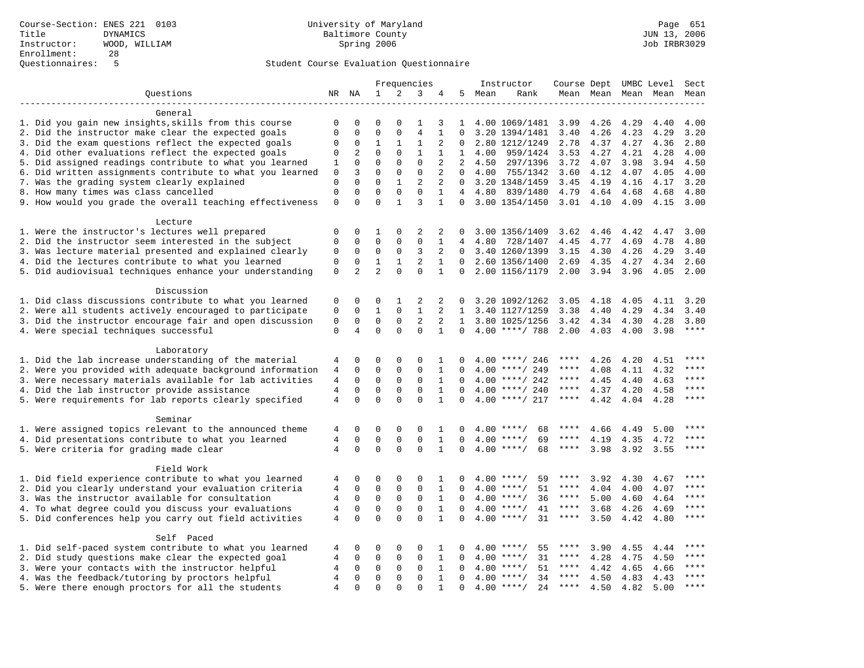|                                                           |                |                |              |              | Frequencies    |                |              |          | Instructor          |             |           |      | Course Dept UMBC Level Sect |             |
|-----------------------------------------------------------|----------------|----------------|--------------|--------------|----------------|----------------|--------------|----------|---------------------|-------------|-----------|------|-----------------------------|-------------|
| Ouestions                                                 |                | NR NA          | $\mathbf{1}$ | 2            | 3              | 4              | 5            | Mean     | Rank                |             |           |      | Mean Mean Mean Mean Mean    |             |
|                                                           |                |                |              |              |                |                |              |          |                     |             |           |      |                             |             |
| General                                                   |                |                |              |              |                |                |              |          |                     |             |           |      |                             |             |
| 1. Did you gain new insights, skills from this course     | 0              | 0              | $\mathbf 0$  | $\mathbf 0$  | 1              | 3              | 1            |          | 4.00 1069/1481 3.99 |             | 4.26      | 4.29 | 4.40                        | 4.00        |
| 2. Did the instructor make clear the expected goals       | $\mathbf 0$    | $\mathbf 0$    | $\Omega$     | $\Omega$     | $\overline{4}$ | $\mathbf{1}$   | $\Omega$     |          | 3.20 1394/1481      | 3.40        | 4.26      | 4.23 | 4.29                        | 3.20        |
| 3. Did the exam questions reflect the expected goals      | 0              | 0              | 1            | $\mathbf{1}$ | 1              | 2              | $\Omega$     |          | 2.80 1212/1249      | 2.78        | 4.37      | 4.27 | 4.36                        | 2.80        |
| 4. Did other evaluations reflect the expected goals       | 0              | $\overline{c}$ | $\mathbf{0}$ | $\mathbf 0$  | $\mathbf{1}$   | 1              | $\mathbf{1}$ | 4.00     | 959/1424            | 3.53        | 4.27      | 4.21 | 4.28                        | 4.00        |
| 5. Did assigned readings contribute to what you learned   | 1              | $\mathbf 0$    | $\mathbf 0$  | $\mathbf 0$  | $\mathbf 0$    | $\overline{2}$ | 2            | 4.50     | 297/1396            | 3.72        | 4.07      | 3.98 | 3.94                        | 4.50        |
| 6. Did written assignments contribute to what you learned | $\mathsf 0$    | $\overline{3}$ | $\Omega$     | $\mathbf 0$  | $\mathbf 0$    | 2              | $\Omega$     | 4.00     | 755/1342            | 3.60        | 4.12      | 4.07 | 4.05                        | 4.00        |
| 7. Was the grading system clearly explained               | $\mathbf 0$    | $\Omega$       | $\Omega$     | $\mathbf{1}$ | 2              | 2              | $\Omega$     |          | 3.20 1348/1459      | 3.45        | 4.19      | 4.16 | 4.17                        | 3.20        |
| 8. How many times was class cancelled                     | $\mathsf 0$    | $\mathbf 0$    | $\mathbf{0}$ | $\mathbf 0$  | $\mathbf 0$    | $\mathbf{1}$   |              | 4, 4, 80 | 839/1480            | 4.79        | 4.64      | 4.68 | 4.68                        | 4.80        |
| 9. How would you grade the overall teaching effectiveness | $\mathsf 0$    | $\Omega$       | $\Omega$     | $\mathbf{1}$ | $\overline{3}$ | $\mathbf{1}$   | $\Omega$     |          | 3.00 1354/1450      | $3.01$ 4.10 |           | 4.09 | 4.15                        | 3.00        |
| Lecture                                                   |                |                |              |              |                |                |              |          |                     |             |           |      |                             |             |
| 1. Were the instructor's lectures well prepared           | $\mathbf 0$    | $\mathbf 0$    | 1            | $\mathbf 0$  | 2              | 2              |              |          | 3.00 1356/1409      | 3.62        | 4.46      | 4.42 | 4.47                        | 3.00        |
| 2. Did the instructor seem interested in the subject      | $\mathbf 0$    | $\mathbf 0$    | $\mathbf 0$  | $\mathbf 0$  | $\mathbf 0$    | $\mathbf{1}$   | 4            | 4.80     | 728/1407            | 4.45        | 4.77      | 4.69 | 4.78                        | 4.80        |
| 3. Was lecture material presented and explained clearly   | $\mathbf 0$    | $\mathbf 0$    | $\mathbf 0$  | $\mathbf 0$  | 3              | 2              | $\Omega$     |          | 3.40 1260/1399      | 3.15        | 4.30      | 4.26 | 4.29                        | 3.40        |
| 4. Did the lectures contribute to what you learned        | $\mathbf 0$    | $\mathbf 0$    | $\mathbf{1}$ | $\mathbf{1}$ | 2              | $\mathbf{1}$   | $\Omega$     |          | 2.60 1356/1400      | 2.69        | 4.35      | 4.27 | 4.34                        | 2.60        |
| 5. Did audiovisual techniques enhance your understanding  | $\mathbf 0$    | $\overline{2}$ | 2            | $\Omega$     | $\mathbf{0}$   | $\mathbf{1}$   | 0            |          | 2.00 1156/1179      | 2.00        | 3.94 3.96 |      | 4.05                        | 2.00        |
|                                                           |                |                |              |              |                |                |              |          |                     |             |           |      |                             |             |
| Discussion                                                |                |                |              |              |                |                |              |          |                     |             |           |      |                             |             |
| 1. Did class discussions contribute to what you learned   | 0              | $\Omega$       | $\Omega$     | 1            | 2              | 2              |              |          | 3.20 1092/1262      | 3.05        | 4.18      | 4.05 | 4.11                        | 3.20        |
| 2. Were all students actively encouraged to participate   | $\mathsf 0$    | $\mathbf 0$    | $\mathbf{1}$ | $\mathbf 0$  | $\mathbf{1}$   | 2              | 1            |          | 3.40 1127/1259      | 3.38        | 4.40      | 4.29 | 4.34                        | 3.40        |
| 3. Did the instructor encourage fair and open discussion  | $\mathsf 0$    | $\mathbf 0$    | $\mathbf 0$  | $\mathbf 0$  | 2              | 2              | $\mathbf{1}$ |          | 3.80 1025/1256      | 3.42        | 4.34      | 4.30 | 4.28                        | 3.80        |
| 4. Were special techniques successful                     | $\mathbf 0$    | $\overline{4}$ | $\Omega$     | $\Omega$     | $\Omega$       | $\mathbf{1}$   | $\Omega$     |          | $4.00$ ****/ 788    | 2.00        | 4.03      | 4.00 | 3.98                        | $***$       |
|                                                           |                |                |              |              |                |                |              |          |                     |             |           |      |                             |             |
| Laboratory                                                |                |                |              |              |                |                |              |          |                     |             |           |      |                             |             |
| 1. Did the lab increase understanding of the material     | 4              | 0              | $\mathbf 0$  | $\Omega$     | $\Omega$       | 1              |              |          | $4.00$ ****/ 246    |             | 4.26      | 4.20 | 4.51                        | $***$       |
| 2. Were you provided with adequate background information | 4              | $\Omega$       | $\Omega$     | $\Omega$     | $\Omega$       | 1              |              |          | 4.00 ****/ 249      | ****        | 4.08      | 4.11 | 4.32                        | ****        |
| 3. Were necessary materials available for lab activities  | 4              | $\mathbf 0$    | $\mathbf 0$  | $\mathsf{O}$ | $\mathsf 0$    | $\mathbf{1}$   | $\Omega$     |          | $4.00$ ****/ 242    | ****        | 4.45      | 4.40 | 4.63                        | ****        |
| 4. Did the lab instructor provide assistance              | $\overline{4}$ | $\mathbf 0$    | $\mathbf 0$  | $\mathbf 0$  | $\mathbf 0$    | $\mathbf{1}$   | $\Omega$     |          | $4.00$ ****/ 240    | ****        | 4.37      | 4.20 | 4.58                        | ****        |
| 5. Were requirements for lab reports clearly specified    | $\overline{4}$ | $\Omega$       | $\Omega$     | $\Omega$     | $\Omega$       | $\mathbf{1}$   | $\Omega$     |          | $4.00$ ****/ 217    | $***$ * * * | 4.42      | 4.04 | 4.28                        | $***$       |
| Seminar                                                   |                |                |              |              |                |                |              |          |                     |             |           |      |                             |             |
| 1. Were assigned topics relevant to the announced theme   | 4              | 0              | 0            | $\mathbf 0$  | 0              | 1              | $\Omega$     |          | $4.00$ ****/<br>68  | ****        | 4.66      | 4.49 | 5.00                        | $***$       |
| 4. Did presentations contribute to what you learned       | 4              | $\mathbf 0$    | $\mathbf{0}$ | $\mathbf 0$  | $\mathbf 0$    | $\mathbf{1}$   | $\Omega$     |          | $4.00$ ****/<br>69  | ****        | 4.19      | 4.35 | 4.72                        | $***$       |
| 5. Were criteria for grading made clear                   | $\overline{4}$ | $\Omega$       | $\Omega$     | $\Omega$     | $\Omega$       | $\mathbf{1}$   | $\Omega$     |          | 68<br>$4.00$ ****/  | $***$ * *   | 3.98      | 3.92 | 3.55                        | $***$       |
|                                                           |                |                |              |              |                |                |              |          |                     |             |           |      |                             |             |
| Field Work                                                |                |                |              |              |                |                |              |          |                     |             |           |      |                             |             |
| 1. Did field experience contribute to what you learned    | 4              | 0              | $\mathbf 0$  | $\mathbf 0$  | 0              | 1              | $\Omega$     |          | $4.00$ ****/<br>59  | ****        | 3.92      | 4.30 | 4.67                        | $***$       |
| 2. Did you clearly understand your evaluation criteria    | 4              | $\mathbf 0$    | $\mathbf 0$  | $\mathbf 0$  | $\Omega$       | 1              | $\Omega$     |          | 51<br>$4.00$ ****/  | ****        | 4.04      | 4.00 | 4.07                        | $***$ * * * |
| 3. Was the instructor available for consultation          | 4              | $\mathbf 0$    | $\mathbf 0$  | $\mathbf 0$  | $\mathbf 0$    | $\mathbf{1}$   | $\Omega$     |          | $4.00$ ****/<br>36  | $***$ * * * | 5.00      | 4.60 | 4.64                        | ****        |
| 4. To what degree could you discuss your evaluations      | $\overline{4}$ | $\mathbf 0$    | $\mathbf{0}$ | $\mathbf 0$  | $\mathbf 0$    | $\mathbf{1}$   | $\Omega$     |          | $4.00$ ****/<br>41  | $***$ * * * | 3.68      | 4.26 | 4.69                        | $***$       |
| 5. Did conferences help you carry out field activities    | $\overline{4}$ | $\Omega$       | $\Omega$     | $\Omega$     | $\Omega$       | $\mathbf{1}$   | $\Omega$     |          | 31<br>$4.00$ ****/  | $***$ * * * | 3.50      | 4.42 | 4.80                        | $***$       |
|                                                           |                |                |              |              |                |                |              |          |                     |             |           |      |                             |             |
| Self Paced                                                |                |                |              |              |                |                |              |          |                     |             |           |      |                             |             |
| 1. Did self-paced system contribute to what you learned   | 4              | 0              | 0            | $\mathbf 0$  | 0              | 1              | $\Omega$     | 4.00     | $***$ /<br>55       | ****        | 3.90      | 4.55 | 4.44                        | $***$       |
| 2. Did study questions make clear the expected goal       | $\overline{4}$ | $\mathbf 0$    | $\mathbf 0$  | $\mathbf 0$  | $\mathbf 0$    | $\mathbf{1}$   | $\Omega$     | 4.00     | 31<br>$***/$        | $***$ * *   | 4.28      | 4.75 | 4.50                        | ****        |
| 3. Were your contacts with the instructor helpful         | 4              | 0              | 0            | $\Omega$     | $\mathbf 0$    | $\mathbf{1}$   | $\Omega$     | 4.00     | $***$ /<br>51       | ****        | 4.42      | 4.65 | 4.66                        | ****        |
| 4. Was the feedback/tutoring by proctors helpful          | 4              | $\Omega$       | $\mathbf{0}$ | $\Omega$     | $\Omega$       | $\mathbf{1}$   | $\Omega$     |          | $4.00$ ****/<br>34  | $***$ * *   | 4.50      | 4.83 | 4.43                        | ****        |
| 5. Were there enough proctors for all the students        | $\overline{4}$ | $\Omega$       | $\Omega$     | $\Omega$     | $\Omega$       | $\mathbf{1}$   | $\Omega$     |          | 24<br>$4.00$ ****/  | ****        | 4.50      | 4.82 | 5.00                        | $***$       |